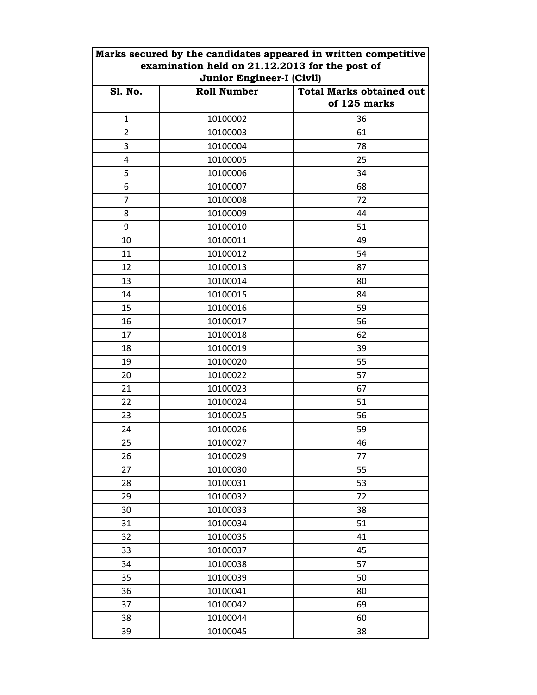|                                                                                    | Marks secured by the candidates appeared in written competitive |              |                |
|------------------------------------------------------------------------------------|-----------------------------------------------------------------|--------------|----------------|
| examination held on 21.12.2013 for the post of<br><b>Junior Engineer-I (Civil)</b> |                                                                 |              |                |
|                                                                                    |                                                                 |              | <b>S1. No.</b> |
|                                                                                    |                                                                 | of 125 marks |                |
| $\mathbf{1}$                                                                       | 10100002                                                        | 36           |                |
| $\overline{2}$                                                                     | 10100003                                                        | 61           |                |
| 3                                                                                  | 10100004                                                        | 78           |                |
| 4                                                                                  | 10100005                                                        | 25           |                |
| 5                                                                                  | 10100006                                                        | 34           |                |
| 6                                                                                  | 10100007                                                        | 68           |                |
| $\overline{7}$                                                                     | 10100008                                                        | 72           |                |
| 8                                                                                  | 10100009                                                        | 44           |                |
| 9                                                                                  | 10100010                                                        | 51           |                |
| 10                                                                                 | 10100011                                                        | 49           |                |
| 11                                                                                 | 10100012                                                        | 54           |                |
| 12                                                                                 | 10100013                                                        | 87           |                |
| 13                                                                                 | 10100014                                                        | 80           |                |
| 14                                                                                 | 10100015                                                        | 84           |                |
| 15                                                                                 | 10100016                                                        | 59           |                |
| 16                                                                                 | 10100017                                                        | 56           |                |
| 17                                                                                 | 10100018                                                        | 62           |                |
| 18                                                                                 | 10100019                                                        | 39           |                |
| 19                                                                                 | 10100020                                                        | 55           |                |
| 20                                                                                 | 10100022                                                        | 57           |                |
| 21                                                                                 | 10100023                                                        | 67           |                |
| 22                                                                                 | 10100024                                                        | 51           |                |
| 23                                                                                 | 10100025                                                        | 56           |                |
| 24                                                                                 | 10100026                                                        | 59           |                |
| 25                                                                                 | 10100027                                                        | 46           |                |
| 26                                                                                 | 10100029                                                        | 77           |                |
| 27                                                                                 | 10100030                                                        | 55           |                |
| 28                                                                                 | 10100031                                                        | 53           |                |
| 29                                                                                 | 10100032                                                        | 72           |                |
| 30                                                                                 | 10100033                                                        | 38           |                |
| 31                                                                                 | 10100034                                                        | 51           |                |
| 32                                                                                 | 10100035                                                        | 41           |                |
| 33                                                                                 | 10100037                                                        | 45           |                |
| 34                                                                                 | 10100038                                                        | 57           |                |
| 35                                                                                 | 10100039                                                        | 50           |                |
| 36                                                                                 | 10100041                                                        | 80           |                |
| 37                                                                                 | 10100042                                                        | 69           |                |
| 38                                                                                 | 10100044                                                        | 60           |                |
| 39                                                                                 | 10100045                                                        | 38           |                |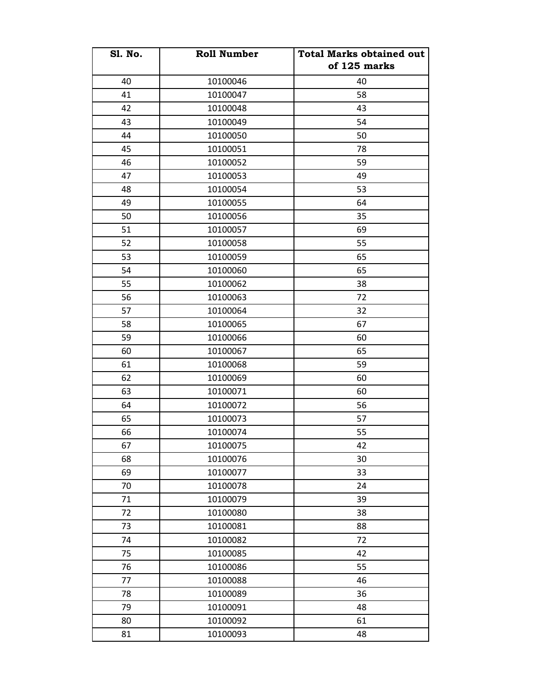| <b>Sl. No.</b> | <b>Roll Number</b> | <b>Total Marks obtained out</b><br>of 125 marks |
|----------------|--------------------|-------------------------------------------------|
| 40             | 10100046           | 40                                              |
| 41             | 10100047           | 58                                              |
| 42             | 10100048           | 43                                              |
|                |                    | 54                                              |
| 43             | 10100049           |                                                 |
| 44             | 10100050           | 50                                              |
| 45             | 10100051           | 78                                              |
| 46             | 10100052           | 59                                              |
| 47             | 10100053           | 49                                              |
| 48             | 10100054           | 53                                              |
| 49             | 10100055           | 64                                              |
| 50             | 10100056           | 35                                              |
| 51             | 10100057           | 69                                              |
| 52             | 10100058           | 55                                              |
| 53             | 10100059           | 65                                              |
| 54             | 10100060           | 65                                              |
| 55             | 10100062           | 38                                              |
| 56             | 10100063           | 72                                              |
| 57             | 10100064           | 32                                              |
| 58             | 10100065           | 67                                              |
| 59             | 10100066           | 60                                              |
| 60             | 10100067           | 65                                              |
| 61             | 10100068           | 59                                              |
| 62             | 10100069           | 60                                              |
| 63             | 10100071           | 60                                              |
| 64             | 10100072           | 56                                              |
| 65             | 10100073           | 57                                              |
| 66             | 10100074           | 55                                              |
| 67             | 10100075           | 42                                              |
| 68             | 10100076           | 30                                              |
| 69             | 10100077           | 33                                              |
| 70             | 10100078           | 24                                              |
| 71             | 10100079           | 39                                              |
| 72             | 10100080           | 38                                              |
| 73             | 10100081           | 88                                              |
| 74             | 10100082           | 72                                              |
| 75             | 10100085           | 42                                              |
| 76             | 10100086           | 55                                              |
| 77             | 10100088           | 46                                              |
| 78             | 10100089           | 36                                              |
| 79             | 10100091           | 48                                              |
| 80             | 10100092           | 61                                              |
| 81             | 10100093           | 48                                              |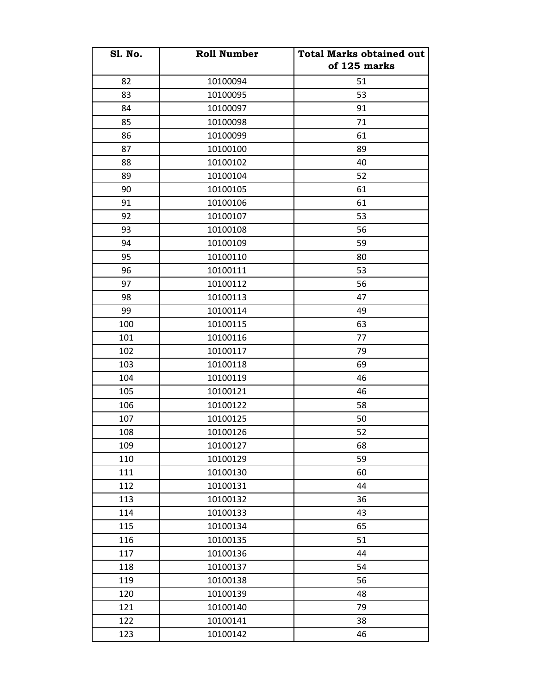| <b>Sl. No.</b> | <b>Roll Number</b> | <b>Total Marks obtained out</b> |
|----------------|--------------------|---------------------------------|
|                |                    | of 125 marks                    |
| 82             | 10100094           | 51                              |
| 83             | 10100095           | 53                              |
| 84             | 10100097           | 91                              |
| 85             | 10100098           | 71                              |
| 86             | 10100099           | 61                              |
| 87             | 10100100           | 89                              |
| 88             | 10100102           | 40                              |
| 89             | 10100104           | 52                              |
| 90             | 10100105           | 61                              |
| 91             | 10100106           | 61                              |
| 92             | 10100107           | 53                              |
| 93             | 10100108           | 56                              |
| 94             | 10100109           | 59                              |
| 95             | 10100110           | 80                              |
| 96             | 10100111           | 53                              |
| 97             | 10100112           | 56                              |
| 98             | 10100113           | 47                              |
| 99             | 10100114           | 49                              |
| 100            | 10100115           | 63                              |
| 101            | 10100116           | 77                              |
| 102            | 10100117           | 79                              |
| 103            | 10100118           | 69                              |
| 104            | 10100119           | 46                              |
| 105            | 10100121           | 46                              |
| 106            | 10100122           | 58                              |
| 107            | 10100125           | 50                              |
| 108            | 10100126           | 52                              |
| 109            | 10100127           | 68                              |
| 110            | 10100129           | 59                              |
| 111            | 10100130           | 60                              |
| 112            | 10100131           | 44                              |
| 113            | 10100132           | 36                              |
| 114            | 10100133           | 43                              |
| 115            | 10100134           | 65                              |
| 116            | 10100135           | 51                              |
| 117            | 10100136           | 44                              |
| 118            | 10100137           | 54                              |
| 119            | 10100138           | 56                              |
| 120            | 10100139           | 48                              |
| 121            | 10100140           | 79                              |
| 122            | 10100141           | 38                              |
| 123            | 10100142           | 46                              |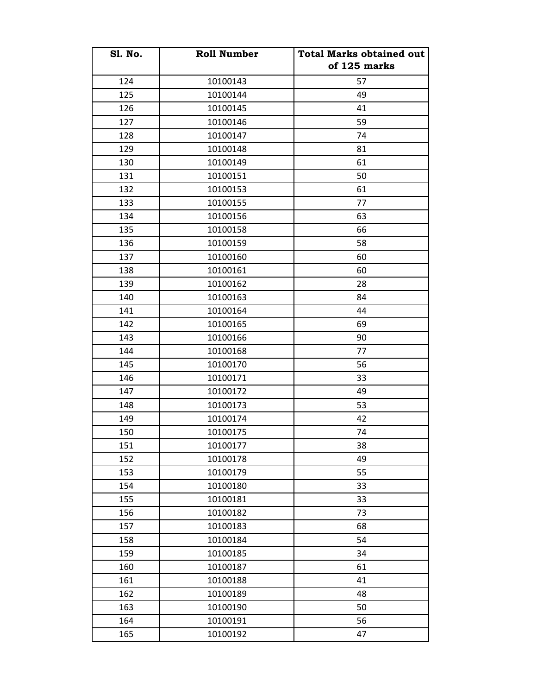| <b>Sl. No.</b> | <b>Roll Number</b> | <b>Total Marks obtained out</b> |
|----------------|--------------------|---------------------------------|
|                |                    | of 125 marks                    |
| 124            | 10100143           | 57                              |
| 125            | 10100144           | 49                              |
| 126            | 10100145           | 41                              |
| 127            | 10100146           | 59                              |
| 128            | 10100147           | 74                              |
| 129            | 10100148           | 81                              |
| 130            | 10100149           | 61                              |
| 131            | 10100151           | 50                              |
| 132            | 10100153           | 61                              |
| 133            | 10100155           | 77                              |
| 134            | 10100156           | 63                              |
| 135            | 10100158           | 66                              |
| 136            | 10100159           | 58                              |
| 137            | 10100160           | 60                              |
| 138            | 10100161           | 60                              |
| 139            | 10100162           | 28                              |
| 140            | 10100163           | 84                              |
| 141            | 10100164           | 44                              |
| 142            | 10100165           | 69                              |
| 143            | 10100166           | 90                              |
| 144            | 10100168           | 77                              |
| 145            | 10100170           | 56                              |
| 146            | 10100171           | 33                              |
| 147            | 10100172           | 49                              |
| 148            | 10100173           | 53                              |
| 149            | 10100174           | 42                              |
| 150            | 10100175           | 74                              |
| 151            | 10100177           | 38                              |
| 152            | 10100178           | 49                              |
| 153            | 10100179           | 55                              |
| 154            | 10100180           | 33                              |
| 155            | 10100181           | 33                              |
| 156            | 10100182           | 73                              |
| 157            | 10100183           | 68                              |
| 158            | 10100184           | 54                              |
| 159            | 10100185           | 34                              |
| 160            | 10100187           | 61                              |
| 161            | 10100188           | 41                              |
| 162            | 10100189           | 48                              |
| 163            | 10100190           | 50                              |
| 164            | 10100191           | 56                              |
| 165            | 10100192           | 47                              |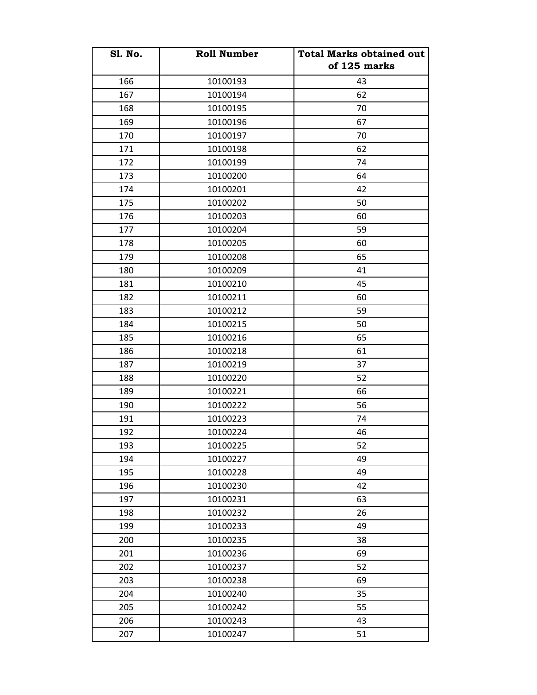| <b>S1. No.</b> | <b>Roll Number</b> | <b>Total Marks obtained out</b><br>of 125 marks |
|----------------|--------------------|-------------------------------------------------|
| 166            | 10100193           | 43                                              |
| 167            | 10100194           | 62                                              |
| 168            | 10100195           | 70                                              |
| 169            | 10100196           | 67                                              |
| 170            | 10100197           | 70                                              |
| 171            | 10100198           | 62                                              |
| 172            | 10100199           | 74                                              |
| 173            | 10100200           | 64                                              |
| 174            | 10100201           | 42                                              |
| 175            | 10100202           | 50                                              |
| 176            | 10100203           | 60                                              |
| 177            | 10100204           | 59                                              |
| 178            | 10100205           | 60                                              |
| 179            | 10100208           | 65                                              |
| 180            | 10100209           | 41                                              |
| 181            | 10100210           | 45                                              |
| 182            | 10100211           | 60                                              |
| 183            | 10100212           | 59                                              |
| 184            | 10100215           | 50                                              |
| 185            | 10100216           | 65                                              |
| 186            | 10100218           | 61                                              |
| 187            | 10100219           | 37                                              |
| 188            | 10100220           | 52                                              |
| 189            | 10100221           | 66                                              |
| 190            | 10100222           | 56                                              |
| 191            | 10100223           | 74                                              |
| 192            | 10100224           | 46                                              |
| 193            | 10100225           | 52                                              |
| 194            | 10100227           | 49                                              |
| 195            | 10100228           | 49                                              |
| 196            | 10100230           | 42                                              |
| 197            | 10100231           | 63                                              |
| 198            | 10100232           | 26                                              |
| 199            | 10100233           | 49                                              |
| 200            | 10100235           | 38                                              |
| 201            | 10100236           | 69                                              |
| 202            | 10100237           | 52                                              |
| 203            | 10100238           | 69                                              |
| 204            | 10100240           | 35                                              |
| 205            | 10100242           | 55                                              |
| 206            | 10100243           | 43                                              |
| 207            | 10100247           | 51                                              |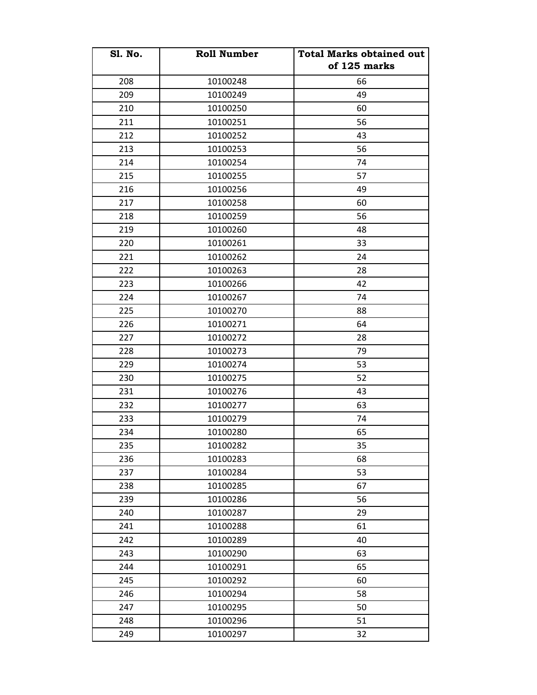| <b>Sl. No.</b> | <b>Roll Number</b> | <b>Total Marks obtained out</b> |
|----------------|--------------------|---------------------------------|
|                |                    | of 125 marks                    |
| 208            | 10100248           | 66                              |
| 209            | 10100249           | 49                              |
| 210            | 10100250           | 60                              |
| 211            | 10100251           | 56                              |
| 212            | 10100252           | 43                              |
| 213            | 10100253           | 56                              |
| 214            | 10100254           | 74                              |
| 215            | 10100255           | 57                              |
| 216            | 10100256           | 49                              |
| 217            | 10100258           | 60                              |
| 218            | 10100259           | 56                              |
| 219            | 10100260           | 48                              |
| 220            | 10100261           | 33                              |
| 221            | 10100262           | 24                              |
| 222            | 10100263           | 28                              |
| 223            | 10100266           | 42                              |
| 224            | 10100267           | 74                              |
| 225            | 10100270           | 88                              |
| 226            | 10100271           | 64                              |
| 227            | 10100272           | 28                              |
| 228            | 10100273           | 79                              |
| 229            | 10100274           | 53                              |
| 230            | 10100275           | 52                              |
| 231            | 10100276           | 43                              |
| 232            | 10100277           | 63                              |
| 233            | 10100279           | 74                              |
| 234            | 10100280           | 65                              |
| 235            | 10100282           | 35                              |
| 236            | 10100283           | 68                              |
| 237            | 10100284           | 53                              |
| 238            | 10100285           | 67                              |
| 239            | 10100286           | 56                              |
| 240            | 10100287           | 29                              |
| 241            | 10100288           | 61                              |
| 242            | 10100289           | 40                              |
| 243            | 10100290           | 63                              |
| 244            | 10100291           | 65                              |
| 245            | 10100292           | 60                              |
| 246            | 10100294           | 58                              |
| 247            | 10100295           | 50                              |
| 248            | 10100296           | 51                              |
| 249            | 10100297           | 32                              |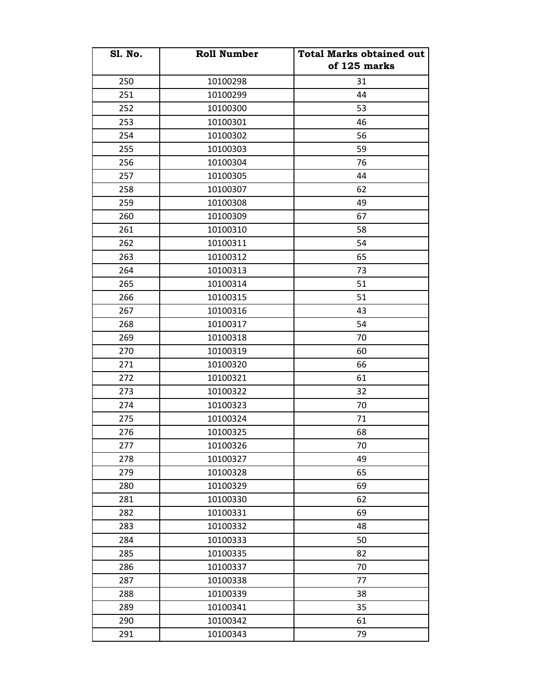| <b>S1. No.</b> | <b>Roll Number</b> | <b>Total Marks obtained out</b> |
|----------------|--------------------|---------------------------------|
|                |                    | of 125 marks                    |
| 250            | 10100298           | 31                              |
| 251            | 10100299           | 44                              |
| 252            | 10100300           | 53                              |
| 253            | 10100301           | 46                              |
| 254            | 10100302           | 56                              |
| 255            | 10100303           | 59                              |
| 256            | 10100304           | 76                              |
| 257            | 10100305           | 44                              |
| 258            | 10100307           | 62                              |
| 259            | 10100308           | 49                              |
| 260            | 10100309           | 67                              |
| 261            | 10100310           | 58                              |
| 262            | 10100311           | 54                              |
| 263            | 10100312           | 65                              |
| 264            | 10100313           | 73                              |
| 265            | 10100314           | 51                              |
| 266            | 10100315           | 51                              |
| 267            | 10100316           | 43                              |
| 268            | 10100317           | 54                              |
| 269            | 10100318           | 70                              |
| 270            | 10100319           | 60                              |
| 271            | 10100320           | 66                              |
| 272            | 10100321           | 61                              |
| 273            | 10100322           | 32                              |
| 274            | 10100323           | 70                              |
| 275            | 10100324           | 71                              |
| 276            | 10100325           | 68                              |
| 277            | 10100326           | 70                              |
| 278            | 10100327           | 49                              |
| 279            | 10100328           | 65                              |
| 280            | 10100329           | 69                              |
| 281            | 10100330           | 62                              |
| 282            | 10100331           | 69                              |
| 283            | 10100332           | 48                              |
| 284            | 10100333           | 50                              |
| 285            | 10100335           | 82                              |
| 286            | 10100337           | 70                              |
| 287            | 10100338           | 77                              |
| 288            | 10100339           | 38                              |
| 289            | 10100341           | 35                              |
| 290            | 10100342           | 61                              |
| 291            | 10100343           | 79                              |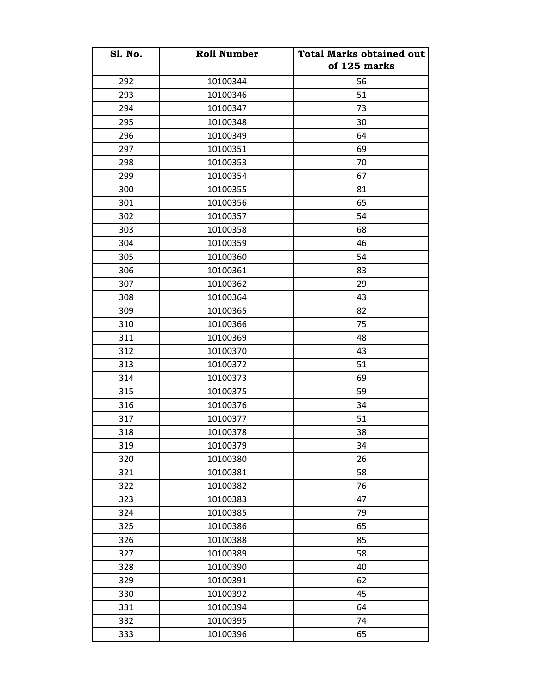| <b>S1. No.</b> | <b>Roll Number</b> | <b>Total Marks obtained out</b> |
|----------------|--------------------|---------------------------------|
|                |                    | of 125 marks                    |
| 292            | 10100344           | 56                              |
| 293            | 10100346           | 51                              |
| 294            | 10100347           | 73                              |
| 295            | 10100348           | 30                              |
| 296            | 10100349           | 64                              |
| 297            | 10100351           | 69                              |
| 298            | 10100353           | 70                              |
| 299            | 10100354           | 67                              |
| 300            | 10100355           | 81                              |
| 301            | 10100356           | 65                              |
| 302            | 10100357           | 54                              |
| 303            | 10100358           | 68                              |
| 304            | 10100359           | 46                              |
| 305            | 10100360           | 54                              |
| 306            | 10100361           | 83                              |
| 307            | 10100362           | 29                              |
| 308            | 10100364           | 43                              |
| 309            | 10100365           | 82                              |
| 310            | 10100366           | 75                              |
| 311            | 10100369           | 48                              |
| 312            | 10100370           | 43                              |
| 313            | 10100372           | 51                              |
| 314            | 10100373           | 69                              |
| 315            | 10100375           | 59                              |
| 316            | 10100376           | 34                              |
| 317            | 10100377           | 51                              |
| 318            | 10100378           | 38                              |
| 319            | 10100379           | 34                              |
| 320            | 10100380           | 26                              |
| 321            | 10100381           | 58                              |
| 322            | 10100382           | 76                              |
| 323            | 10100383           | 47                              |
| 324            | 10100385           | 79                              |
| 325            | 10100386           | 65                              |
| 326            | 10100388           | 85                              |
| 327            | 10100389           | 58                              |
| 328            | 10100390           | 40                              |
| 329            | 10100391           | 62                              |
| 330            | 10100392           | 45                              |
| 331            | 10100394           | 64                              |
| 332            | 10100395           | 74                              |
| 333            | 10100396           | 65                              |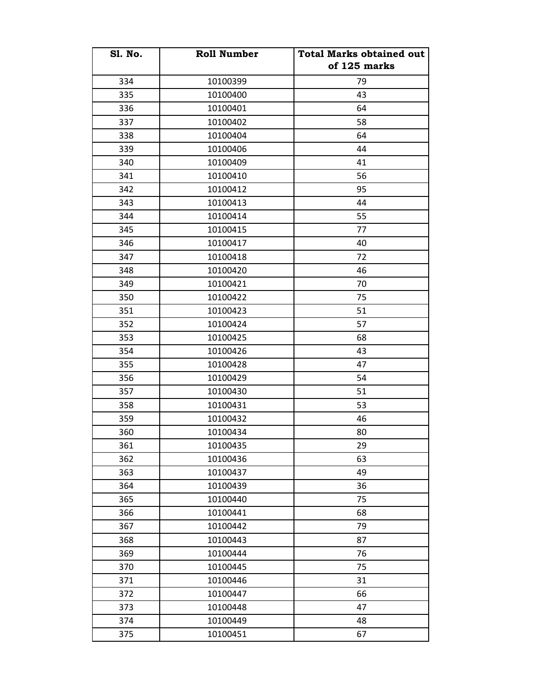| <b>Sl. No.</b> | <b>Roll Number</b> | <b>Total Marks obtained out</b> |
|----------------|--------------------|---------------------------------|
|                |                    | of 125 marks                    |
| 334            | 10100399           | 79                              |
| 335            | 10100400           | 43                              |
| 336            | 10100401           | 64                              |
| 337            | 10100402           | 58                              |
| 338            | 10100404           | 64                              |
| 339            | 10100406           | 44                              |
| 340            | 10100409           | 41                              |
| 341            | 10100410           | 56                              |
| 342            | 10100412           | 95                              |
| 343            | 10100413           | 44                              |
| 344            | 10100414           | 55                              |
| 345            | 10100415           | 77                              |
| 346            | 10100417           | 40                              |
| 347            | 10100418           | 72                              |
| 348            | 10100420           | 46                              |
| 349            | 10100421           | 70                              |
| 350            | 10100422           | 75                              |
| 351            | 10100423           | 51                              |
| 352            | 10100424           | 57                              |
| 353            | 10100425           | 68                              |
| 354            | 10100426           | 43                              |
| 355            | 10100428           | 47                              |
| 356            | 10100429           | 54                              |
| 357            | 10100430           | 51                              |
| 358            | 10100431           | 53                              |
| 359            | 10100432           | 46                              |
| 360            | 10100434           | 80                              |
| 361            | 10100435           | 29                              |
| 362            | 10100436           | 63                              |
| 363            | 10100437           | 49                              |
| 364            | 10100439           | 36                              |
| 365            | 10100440           | 75                              |
| 366            | 10100441           | 68                              |
| 367            | 10100442           | 79                              |
| 368            | 10100443           | 87                              |
| 369            | 10100444           | 76                              |
| 370            | 10100445           | 75                              |
| 371            | 10100446           | 31                              |
| 372            | 10100447           | 66                              |
| 373            | 10100448           | 47                              |
| 374            | 10100449           | 48                              |
| 375            | 10100451           | 67                              |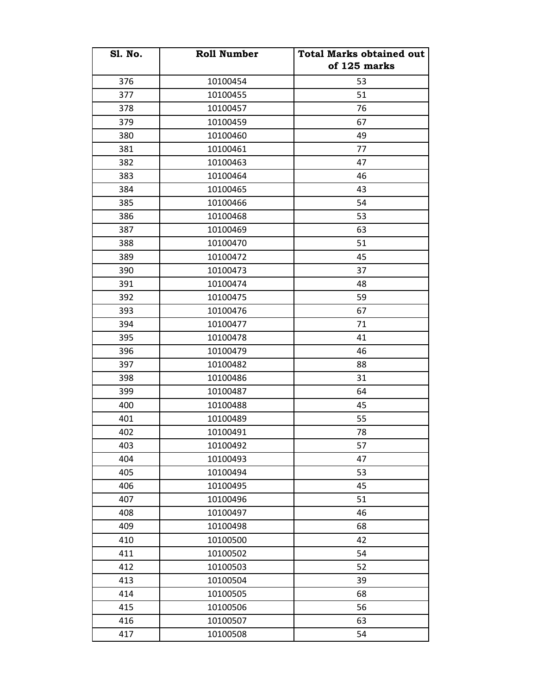| <b>Sl. No.</b> | <b>Roll Number</b> | <b>Total Marks obtained out</b> |
|----------------|--------------------|---------------------------------|
|                |                    | of 125 marks                    |
| 376            | 10100454           | 53                              |
| 377            | 10100455           | 51                              |
| 378            | 10100457           | 76                              |
| 379            | 10100459           | 67                              |
| 380            | 10100460           | 49                              |
| 381            | 10100461           | 77                              |
| 382            | 10100463           | 47                              |
| 383            | 10100464           | 46                              |
| 384            | 10100465           | 43                              |
| 385            | 10100466           | 54                              |
| 386            | 10100468           | 53                              |
| 387            | 10100469           | 63                              |
| 388            | 10100470           | 51                              |
| 389            | 10100472           | 45                              |
| 390            | 10100473           | 37                              |
| 391            | 10100474           | 48                              |
| 392            | 10100475           | 59                              |
| 393            | 10100476           | 67                              |
| 394            | 10100477           | 71                              |
| 395            | 10100478           | 41                              |
| 396            | 10100479           | 46                              |
| 397            | 10100482           | 88                              |
| 398            | 10100486           | 31                              |
| 399            | 10100487           | 64                              |
| 400            | 10100488           | 45                              |
| 401            | 10100489           | 55                              |
| 402            | 10100491           | 78                              |
| 403            | 10100492           | 57                              |
| 404            | 10100493           | 47                              |
| 405            | 10100494           | 53                              |
| 406            | 10100495           | 45                              |
| 407            | 10100496           | 51                              |
| 408            | 10100497           | 46                              |
| 409            | 10100498           | 68                              |
| 410            | 10100500           | 42                              |
| 411            | 10100502           | 54                              |
| 412            | 10100503           | 52                              |
| 413            | 10100504           | 39                              |
| 414            | 10100505           | 68                              |
| 415            | 10100506           | 56                              |
| 416            | 10100507           | 63                              |
| 417            | 10100508           | 54                              |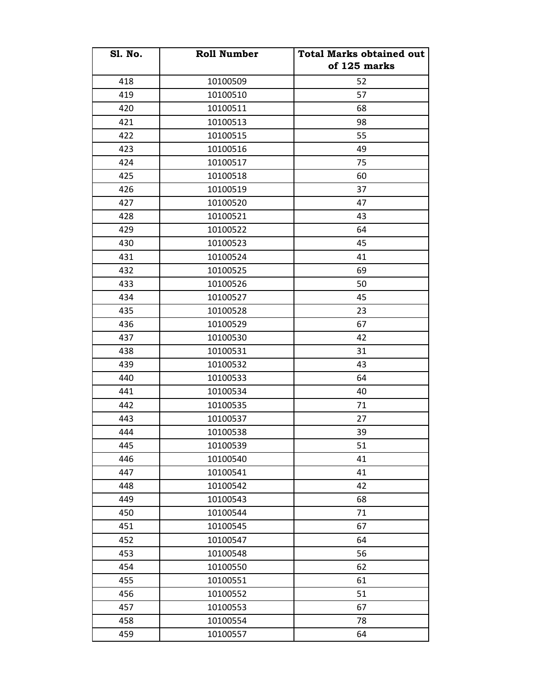| <b>Sl. No.</b> | <b>Roll Number</b> | <b>Total Marks obtained out</b> |
|----------------|--------------------|---------------------------------|
|                |                    | of 125 marks                    |
| 418            | 10100509           | 52                              |
| 419            | 10100510           | 57                              |
| 420            | 10100511           | 68                              |
| 421            | 10100513           | 98                              |
| 422            | 10100515           | 55                              |
| 423            | 10100516           | 49                              |
| 424            | 10100517           | 75                              |
| 425            | 10100518           | 60                              |
| 426            | 10100519           | 37                              |
| 427            | 10100520           | 47                              |
| 428            | 10100521           | 43                              |
| 429            | 10100522           | 64                              |
| 430            | 10100523           | 45                              |
| 431            | 10100524           | 41                              |
| 432            | 10100525           | 69                              |
| 433            | 10100526           | 50                              |
| 434            | 10100527           | 45                              |
| 435            | 10100528           | 23                              |
| 436            | 10100529           | 67                              |
| 437            | 10100530           | 42                              |
| 438            | 10100531           | 31                              |
| 439            | 10100532           | 43                              |
| 440            | 10100533           | 64                              |
| 441            | 10100534           | 40                              |
| 442            | 10100535           | 71                              |
| 443            | 10100537           | 27                              |
| 444            | 10100538           | 39                              |
| 445            | 10100539           | 51                              |
| 446            | 10100540           | 41                              |
| 447            | 10100541           | 41                              |
| 448            | 10100542           | 42                              |
| 449            | 10100543           | 68                              |
| 450            | 10100544           | 71                              |
| 451            | 10100545           | 67                              |
| 452            | 10100547           | 64                              |
| 453            | 10100548           | 56                              |
| 454            | 10100550           | 62                              |
| 455            | 10100551           | 61                              |
| 456            | 10100552           | 51                              |
| 457            | 10100553           | 67                              |
| 458            | 10100554           | 78                              |
| 459            | 10100557           | 64                              |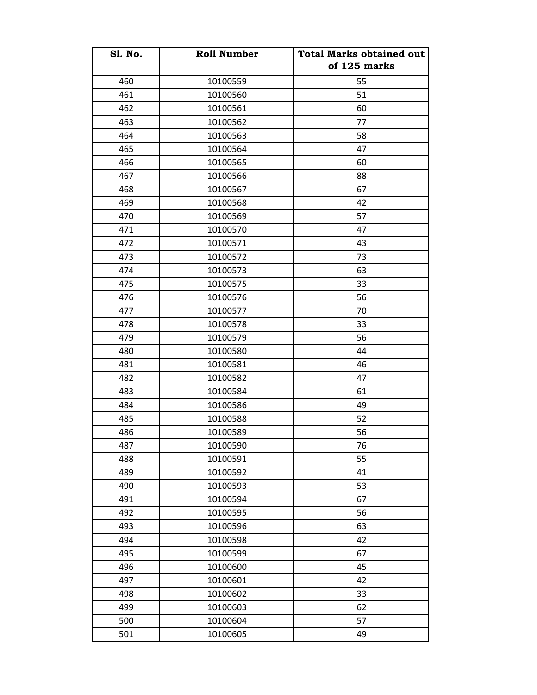| <b>S1. No.</b> | <b>Roll Number</b> | <b>Total Marks obtained out</b> |
|----------------|--------------------|---------------------------------|
|                |                    | of 125 marks                    |
| 460            | 10100559           | 55                              |
| 461            | 10100560           | 51                              |
| 462            | 10100561           | 60                              |
| 463            | 10100562           | 77                              |
| 464            | 10100563           | 58                              |
| 465            | 10100564           | 47                              |
| 466            | 10100565           | 60                              |
| 467            | 10100566           | 88                              |
| 468            | 10100567           | 67                              |
| 469            | 10100568           | 42                              |
| 470            | 10100569           | 57                              |
| 471            | 10100570           | 47                              |
| 472            | 10100571           | 43                              |
| 473            | 10100572           | 73                              |
| 474            | 10100573           | 63                              |
| 475            | 10100575           | 33                              |
| 476            | 10100576           | 56                              |
| 477            | 10100577           | 70                              |
| 478            | 10100578           | 33                              |
| 479            | 10100579           | 56                              |
| 480            | 10100580           | 44                              |
| 481            | 10100581           | 46                              |
| 482            | 10100582           | 47                              |
| 483            | 10100584           | 61                              |
| 484            | 10100586           | 49                              |
| 485            | 10100588           | 52                              |
| 486            | 10100589           | 56                              |
| 487            | 10100590           | 76                              |
| 488            | 10100591           | 55                              |
| 489            | 10100592           | 41                              |
| 490            | 10100593           | 53                              |
| 491            | 10100594           | 67                              |
| 492            | 10100595           | 56                              |
| 493            | 10100596           | 63                              |
| 494            | 10100598           | 42                              |
| 495            | 10100599           | 67                              |
| 496            | 10100600           | 45                              |
| 497            | 10100601           | 42                              |
| 498            | 10100602           | 33                              |
| 499            | 10100603           | 62                              |
| 500            | 10100604           | 57                              |
| 501            | 10100605           | 49                              |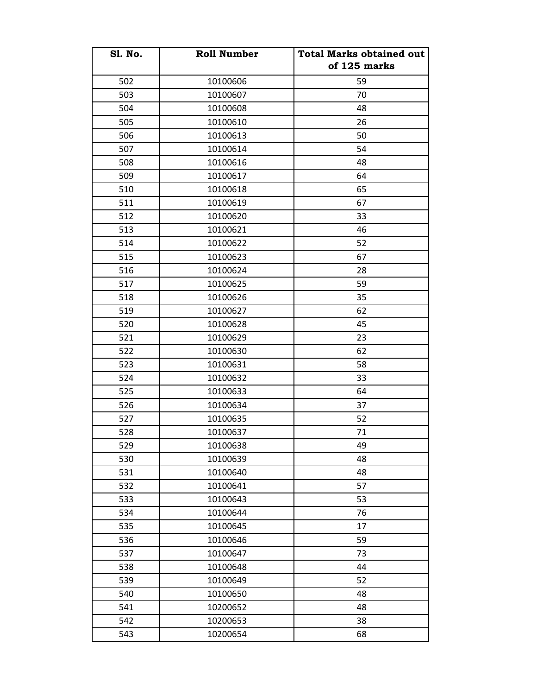| <b>Sl. No.</b> | <b>Roll Number</b> | <b>Total Marks obtained out</b> |
|----------------|--------------------|---------------------------------|
|                |                    | of 125 marks                    |
| 502            | 10100606           | 59                              |
| 503            | 10100607           | 70                              |
| 504            | 10100608           | 48                              |
| 505            | 10100610           | 26                              |
| 506            | 10100613           | 50                              |
| 507            | 10100614           | 54                              |
| 508            | 10100616           | 48                              |
| 509            | 10100617           | 64                              |
| 510            | 10100618           | 65                              |
| 511            | 10100619           | 67                              |
| 512            | 10100620           | 33                              |
| 513            | 10100621           | 46                              |
| 514            | 10100622           | 52                              |
| 515            | 10100623           | 67                              |
| 516            | 10100624           | 28                              |
| 517            | 10100625           | 59                              |
| 518            | 10100626           | 35                              |
| 519            | 10100627           | 62                              |
| 520            | 10100628           | 45                              |
| 521            | 10100629           | 23                              |
| 522            | 10100630           | 62                              |
| 523            | 10100631           | 58                              |
| 524            | 10100632           | 33                              |
| 525            | 10100633           | 64                              |
| 526            | 10100634           | 37                              |
| 527            | 10100635           | 52                              |
| 528            | 10100637           | 71                              |
| 529            | 10100638           | 49                              |
| 530            | 10100639           | 48                              |
| 531            | 10100640           | 48                              |
| 532            | 10100641           | 57                              |
| 533            | 10100643           | 53                              |
| 534            | 10100644           | 76                              |
| 535            | 10100645           | 17                              |
| 536            | 10100646           | 59                              |
| 537            | 10100647           | 73                              |
| 538            | 10100648           | 44                              |
| 539            | 10100649           | 52                              |
| 540            | 10100650           | 48                              |
| 541            | 10200652           | 48                              |
| 542            | 10200653           | 38                              |
| 543            | 10200654           | 68                              |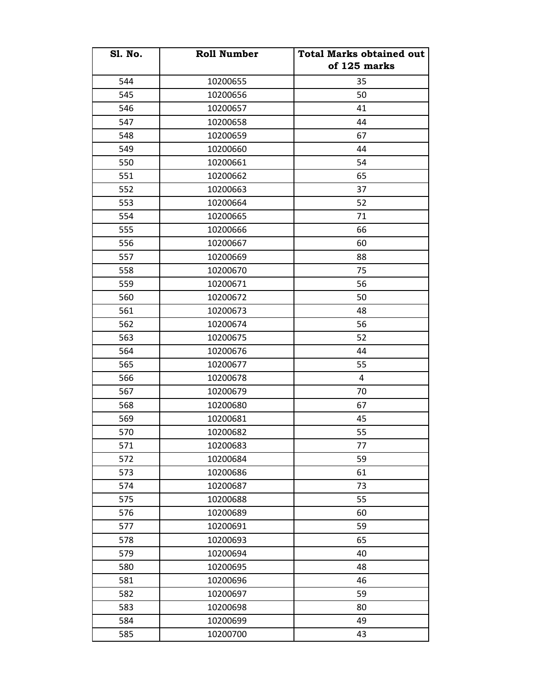| <b>Sl. No.</b> | <b>Roll Number</b> | <b>Total Marks obtained out</b> |
|----------------|--------------------|---------------------------------|
|                |                    | of 125 marks                    |
| 544            | 10200655           | 35                              |
| 545            | 10200656           | 50                              |
| 546            | 10200657           | 41                              |
| 547            | 10200658           | 44                              |
| 548            | 10200659           | 67                              |
| 549            | 10200660           | 44                              |
| 550            | 10200661           | 54                              |
| 551            | 10200662           | 65                              |
| 552            | 10200663           | 37                              |
| 553            | 10200664           | 52                              |
| 554            | 10200665           | 71                              |
| 555            | 10200666           | 66                              |
| 556            | 10200667           | 60                              |
| 557            | 10200669           | 88                              |
| 558            | 10200670           | 75                              |
| 559            | 10200671           | 56                              |
| 560            | 10200672           | 50                              |
| 561            | 10200673           | 48                              |
| 562            | 10200674           | 56                              |
| 563            | 10200675           | 52                              |
| 564            | 10200676           | 44                              |
| 565            | 10200677           | 55                              |
| 566            | 10200678           | 4                               |
| 567            | 10200679           | 70                              |
| 568            | 10200680           | 67                              |
| 569            | 10200681           | 45                              |
| 570            | 10200682           | 55                              |
| 571            | 10200683           | 77                              |
| 572            | 10200684           | 59                              |
| 573            | 10200686           | 61                              |
| 574            | 10200687           | 73                              |
| 575            | 10200688           | 55                              |
| 576            | 10200689           | 60                              |
| 577            | 10200691           | 59                              |
| 578            | 10200693           | 65                              |
| 579            | 10200694           | 40                              |
| 580            | 10200695           | 48                              |
| 581            | 10200696           | 46                              |
| 582            | 10200697           | 59                              |
| 583            | 10200698           | 80                              |
| 584            | 10200699           | 49                              |
| 585            | 10200700           | 43                              |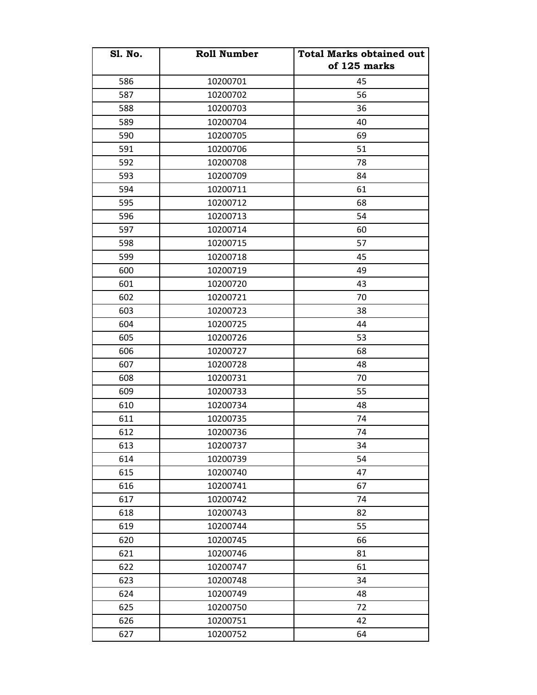| <b>S1. No.</b> | <b>Roll Number</b> | <b>Total Marks obtained out</b><br>of 125 marks |
|----------------|--------------------|-------------------------------------------------|
| 586            | 10200701           | 45                                              |
| 587            | 10200702           | 56                                              |
| 588            | 10200703           | 36                                              |
| 589            | 10200704           | 40                                              |
| 590            | 10200705           | 69                                              |
| 591            | 10200706           | 51                                              |
| 592            | 10200708           | 78                                              |
| 593            | 10200709           | 84                                              |
| 594            | 10200711           | 61                                              |
| 595            | 10200712           | 68                                              |
| 596            | 10200713           | 54                                              |
| 597            | 10200714           | 60                                              |
| 598            | 10200715           | 57                                              |
| 599            | 10200718           | 45                                              |
| 600            | 10200719           | 49                                              |
| 601            | 10200720           | 43                                              |
| 602            | 10200721           | 70                                              |
| 603            | 10200723           | 38                                              |
| 604            | 10200725           | 44                                              |
| 605            | 10200726           | 53                                              |
| 606            | 10200727           | 68                                              |
| 607            | 10200728           | 48                                              |
| 608            | 10200731           | 70                                              |
| 609            | 10200733           | 55                                              |
| 610            | 10200734           | 48                                              |
| 611            | 10200735           | 74                                              |
| 612            | 10200736           | 74                                              |
| 613            | 10200737           | 34                                              |
| 614            | 10200739           | 54                                              |
| 615            | 10200740           | 47                                              |
| 616            | 10200741           | 67                                              |
| 617            | 10200742           | 74                                              |
| 618            | 10200743           | 82                                              |
| 619            | 10200744           | 55                                              |
| 620            | 10200745           | 66                                              |
| 621            | 10200746           | 81                                              |
| 622            | 10200747           | 61                                              |
| 623            | 10200748           | 34                                              |
| 624            | 10200749           | 48                                              |
| 625            | 10200750           | 72                                              |
| 626            | 10200751           | 42                                              |
| 627            | 10200752           | 64                                              |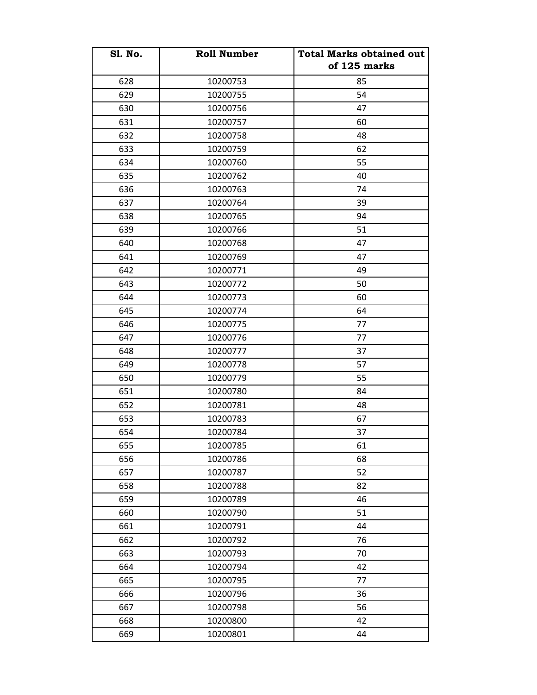| <b>Sl. No.</b> | <b>Roll Number</b> | <b>Total Marks obtained out</b><br>of 125 marks |
|----------------|--------------------|-------------------------------------------------|
| 628            | 10200753           | 85                                              |
| 629            | 10200755           | 54                                              |
| 630            | 10200756           | 47                                              |
| 631            | 10200757           | 60                                              |
| 632            | 10200758           | 48                                              |
| 633            | 10200759           | 62                                              |
| 634            | 10200760           | 55                                              |
| 635            | 10200762           | 40                                              |
| 636            | 10200763           | 74                                              |
| 637            | 10200764           | 39                                              |
| 638            | 10200765           | 94                                              |
| 639            | 10200766           | 51                                              |
| 640            | 10200768           | 47                                              |
| 641            | 10200769           | 47                                              |
| 642            | 10200771           | 49                                              |
| 643            | 10200772           | 50                                              |
| 644            | 10200773           | 60                                              |
| 645            | 10200774           | 64                                              |
| 646            | 10200775           | 77                                              |
| 647            | 10200776           | 77                                              |
| 648            | 10200777           | 37                                              |
| 649            | 10200778           | 57                                              |
| 650            | 10200779           | 55                                              |
| 651            | 10200780           | 84                                              |
| 652            | 10200781           | 48                                              |
| 653            | 10200783           | 67                                              |
| 654            | 10200784           | 37                                              |
| 655            | 10200785           | 61                                              |
| 656            | 10200786           | 68                                              |
| 657            | 10200787           | 52                                              |
|                |                    | 82                                              |
| 658            | 10200788           |                                                 |
| 659            | 10200789           | 46                                              |
| 660            | 10200790           | 51                                              |
| 661            | 10200791           | 44                                              |
| 662            | 10200792           | 76                                              |
| 663            | 10200793           | 70                                              |
| 664            | 10200794           | 42                                              |
| 665            | 10200795           | 77                                              |
| 666            | 10200796           | 36                                              |
| 667            | 10200798           | 56                                              |
| 668            | 10200800           | 42                                              |
| 669            | 10200801           | 44                                              |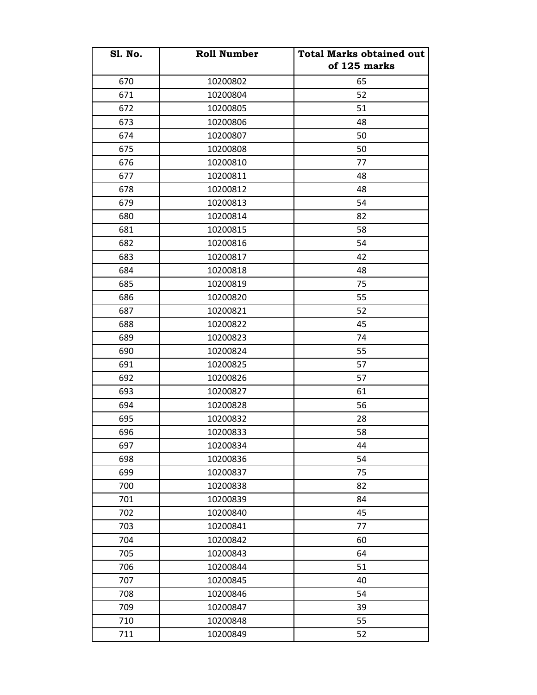| <b>S1. No.</b> | <b>Roll Number</b> | <b>Total Marks obtained out</b><br>of 125 marks |
|----------------|--------------------|-------------------------------------------------|
| 670            | 10200802           | 65                                              |
| 671            | 10200804           | 52                                              |
| 672            | 10200805           | 51                                              |
| 673            | 10200806           | 48                                              |
| 674            | 10200807           | 50                                              |
| 675            | 10200808           | 50                                              |
| 676            | 10200810           | 77                                              |
| 677            | 10200811           | 48                                              |
| 678            | 10200812           | 48                                              |
| 679            | 10200813           | 54                                              |
| 680            | 10200814           | 82                                              |
| 681            | 10200815           | 58                                              |
| 682            | 10200816           | 54                                              |
| 683            | 10200817           | 42                                              |
| 684            | 10200818           | 48                                              |
| 685            | 10200819           | 75                                              |
| 686            | 10200820           | 55                                              |
| 687            | 10200821           | 52                                              |
| 688            | 10200822           | 45                                              |
| 689            | 10200823           | 74                                              |
| 690            | 10200824           | 55                                              |
| 691            | 10200825           | 57                                              |
| 692            | 10200826           | 57                                              |
| 693            | 10200827           | 61                                              |
| 694            | 10200828           | 56                                              |
| 695            | 10200832           | 28                                              |
| 696            | 10200833           | 58                                              |
| 697            | 10200834           | 44                                              |
| 698            | 10200836           | 54                                              |
| 699            | 10200837           | 75                                              |
| 700            | 10200838           | 82                                              |
| 701            | 10200839           | 84                                              |
| 702            | 10200840           | 45                                              |
| 703            | 10200841           | 77                                              |
| 704            | 10200842           | 60                                              |
| 705            | 10200843           | 64                                              |
| 706            | 10200844           | 51                                              |
| 707            | 10200845           | 40                                              |
| 708            | 10200846           | 54                                              |
| 709            | 10200847           | 39                                              |
| 710            | 10200848           | 55                                              |
| 711            | 10200849           | 52                                              |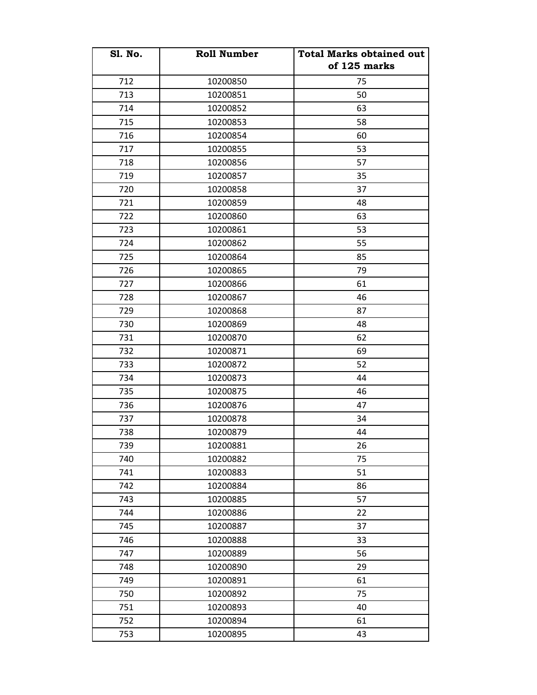| <b>S1. No.</b> | <b>Roll Number</b> | <b>Total Marks obtained out</b> |
|----------------|--------------------|---------------------------------|
|                |                    | of 125 marks                    |
| 712            | 10200850           | 75                              |
| 713            | 10200851           | 50                              |
| 714            | 10200852           | 63                              |
| 715            | 10200853           | 58                              |
| 716            | 10200854           | 60                              |
| 717            | 10200855           | 53                              |
| 718            | 10200856           | 57                              |
| 719            | 10200857           | 35                              |
| 720            | 10200858           | 37                              |
| 721            | 10200859           | 48                              |
| 722            | 10200860           | 63                              |
| 723            | 10200861           | 53                              |
| 724            | 10200862           | 55                              |
| 725            | 10200864           | 85                              |
| 726            | 10200865           | 79                              |
| 727            | 10200866           | 61                              |
| 728            | 10200867           | 46                              |
| 729            | 10200868           | 87                              |
| 730            | 10200869           | 48                              |
| 731            | 10200870           | 62                              |
| 732            | 10200871           | 69                              |
| 733            | 10200872           | 52                              |
| 734            | 10200873           | 44                              |
| 735            | 10200875           | 46                              |
| 736            | 10200876           | 47                              |
| 737            | 10200878           | 34                              |
| 738            | 10200879           | 44                              |
| 739            | 10200881           | 26                              |
| 740            | 10200882           | 75                              |
| 741            | 10200883           | 51                              |
| 742            | 10200884           | 86                              |
| 743            | 10200885           | 57                              |
| 744            | 10200886           | 22                              |
| 745            | 10200887           | 37                              |
| 746            | 10200888           | 33                              |
| 747            | 10200889           | 56                              |
| 748            | 10200890           | 29                              |
| 749            | 10200891           | 61                              |
| 750            | 10200892           | 75                              |
| 751            | 10200893           | 40                              |
| 752            | 10200894           | 61                              |
| 753            | 10200895           | 43                              |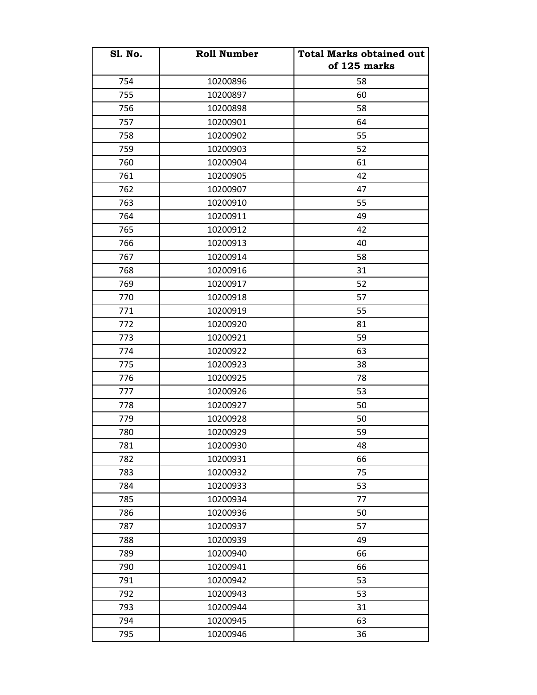| <b>S1. No.</b> | <b>Roll Number</b> | <b>Total Marks obtained out</b> |
|----------------|--------------------|---------------------------------|
|                |                    | of 125 marks                    |
| 754            | 10200896           | 58                              |
| 755            | 10200897           | 60                              |
| 756            | 10200898           | 58                              |
| 757            | 10200901           | 64                              |
| 758            | 10200902           | 55                              |
| 759            | 10200903           | 52                              |
| 760            | 10200904           | 61                              |
| 761            | 10200905           | 42                              |
| 762            | 10200907           | 47                              |
| 763            | 10200910           | 55                              |
| 764            | 10200911           | 49                              |
| 765            | 10200912           | 42                              |
| 766            | 10200913           | 40                              |
| 767            | 10200914           | 58                              |
| 768            | 10200916           | 31                              |
| 769            | 10200917           | 52                              |
| 770            | 10200918           | 57                              |
| 771            | 10200919           | 55                              |
| 772            | 10200920           | 81                              |
| 773            | 10200921           | 59                              |
| 774            | 10200922           | 63                              |
| 775            | 10200923           | 38                              |
| 776            | 10200925           | 78                              |
| 777            | 10200926           | 53                              |
| 778            | 10200927           | 50                              |
| 779            | 10200928           | 50                              |
| 780            | 10200929           | 59                              |
| 781            | 10200930           | 48                              |
| 782            | 10200931           | 66                              |
| 783            | 10200932           | 75                              |
| 784            | 10200933           | 53                              |
| 785            | 10200934           | 77                              |
| 786            | 10200936           | 50                              |
| 787            | 10200937           | 57                              |
| 788            | 10200939           | 49                              |
| 789            | 10200940           | 66                              |
| 790            | 10200941           | 66                              |
| 791            | 10200942           | 53                              |
| 792            | 10200943           | 53                              |
| 793            | 10200944           | 31                              |
| 794            | 10200945           | 63                              |
| 795            | 10200946           | 36                              |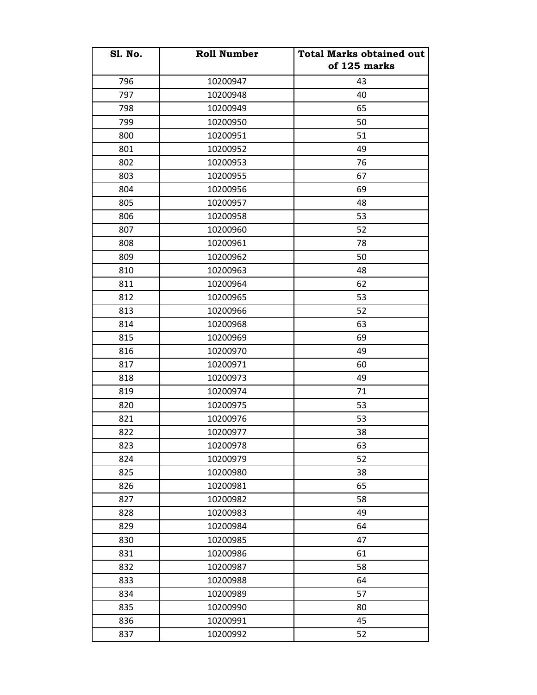| <b>Sl. No.</b> | <b>Roll Number</b> | <b>Total Marks obtained out</b> |
|----------------|--------------------|---------------------------------|
|                |                    | of 125 marks                    |
| 796            | 10200947           | 43                              |
| 797            | 10200948           | 40                              |
| 798            | 10200949           | 65                              |
| 799            | 10200950           | 50                              |
| 800            | 10200951           | 51                              |
| 801            | 10200952           | 49                              |
| 802            | 10200953           | 76                              |
| 803            | 10200955           | 67                              |
| 804            | 10200956           | 69                              |
| 805            | 10200957           | 48                              |
| 806            | 10200958           | 53                              |
| 807            | 10200960           | 52                              |
| 808            | 10200961           | 78                              |
| 809            | 10200962           | 50                              |
| 810            | 10200963           | 48                              |
| 811            | 10200964           | 62                              |
| 812            | 10200965           | 53                              |
| 813            | 10200966           | 52                              |
| 814            | 10200968           | 63                              |
| 815            | 10200969           | 69                              |
| 816            | 10200970           | 49                              |
| 817            | 10200971           | 60                              |
| 818            | 10200973           | 49                              |
| 819            | 10200974           | 71                              |
| 820            | 10200975           | 53                              |
| 821            | 10200976           | 53                              |
| 822            | 10200977           | 38                              |
| 823            | 10200978           | 63                              |
| 824            | 10200979           | 52                              |
| 825            | 10200980           | 38                              |
| 826            | 10200981           | 65                              |
| 827            | 10200982           | 58                              |
| 828            | 10200983           | 49                              |
| 829            | 10200984           | 64                              |
| 830            | 10200985           | 47                              |
| 831            | 10200986           | 61                              |
| 832            | 10200987           | 58                              |
| 833            | 10200988           | 64                              |
| 834            | 10200989           | 57                              |
| 835            | 10200990           | 80                              |
| 836            | 10200991           | 45                              |
| 837            | 10200992           | 52                              |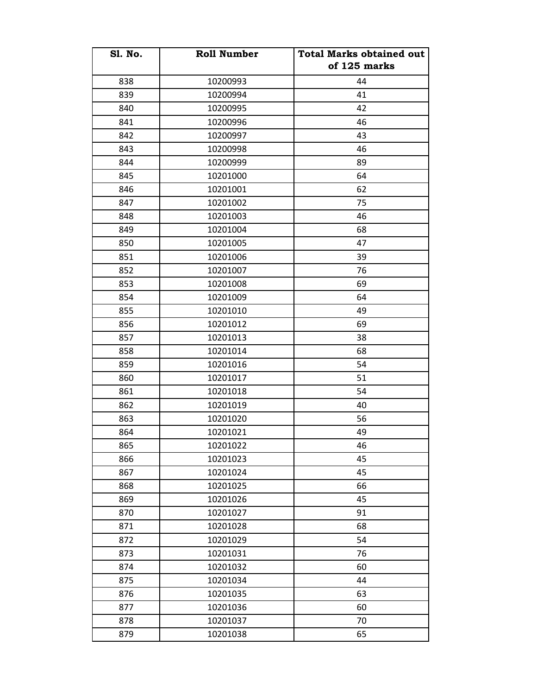| <b>S1. No.</b> | <b>Roll Number</b> | <b>Total Marks obtained out</b><br>of 125 marks |
|----------------|--------------------|-------------------------------------------------|
| 838            | 10200993           | 44                                              |
| 839            | 10200994           | 41                                              |
| 840            | 10200995           | 42                                              |
| 841            | 10200996           | 46                                              |
| 842            | 10200997           | 43                                              |
| 843            | 10200998           | 46                                              |
| 844            | 10200999           | 89                                              |
| 845            | 10201000           | 64                                              |
| 846            | 10201001           | 62                                              |
| 847            | 10201002           | 75                                              |
| 848            | 10201003           | 46                                              |
| 849            | 10201004           | 68                                              |
| 850            | 10201005           | 47                                              |
| 851            | 10201006           | 39                                              |
| 852            | 10201007           | 76                                              |
| 853            | 10201008           | 69                                              |
| 854            | 10201009           | 64                                              |
| 855            | 10201010           | 49                                              |
| 856            | 10201012           | 69                                              |
| 857            | 10201013           | 38                                              |
| 858            | 10201014           | 68                                              |
| 859            | 10201016           | 54                                              |
| 860            | 10201017           | 51                                              |
| 861            | 10201018           | 54                                              |
| 862            | 10201019           | 40                                              |
| 863            | 10201020           | 56                                              |
| 864            | 10201021           | 49                                              |
| 865            | 10201022           | 46                                              |
| 866            | 10201023           | 45                                              |
| 867            | 10201024           | 45                                              |
| 868            | 10201025           | 66                                              |
| 869            | 10201026           | 45                                              |
| 870            | 10201027           | 91                                              |
| 871            | 10201028           | 68                                              |
| 872            | 10201029           | 54                                              |
| 873            | 10201031           | 76                                              |
| 874            | 10201032           | 60                                              |
| 875            | 10201034           | 44                                              |
| 876            | 10201035           | 63                                              |
| 877            | 10201036           | 60                                              |
| 878            | 10201037           | 70                                              |
| 879            | 10201038           | 65                                              |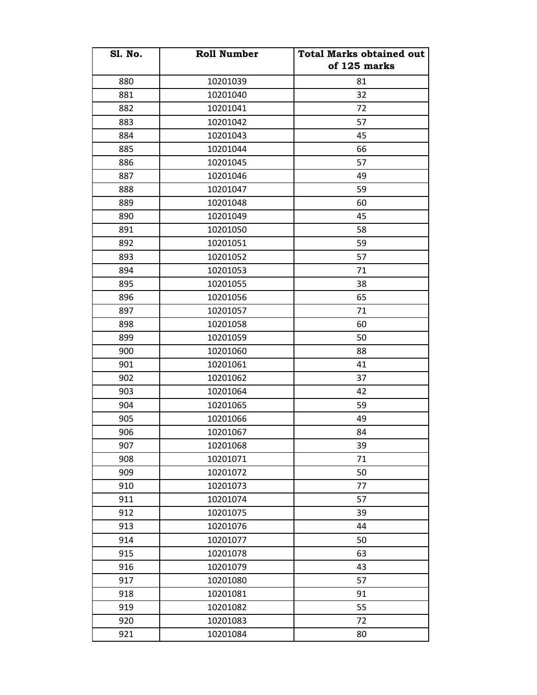| <b>S1. No.</b> | <b>Roll Number</b> | <b>Total Marks obtained out</b><br>of 125 marks |
|----------------|--------------------|-------------------------------------------------|
| 880            | 10201039           | 81                                              |
| 881            | 10201040           | 32                                              |
| 882            | 10201041           | 72                                              |
| 883            | 10201042           | 57                                              |
| 884            | 10201043           | 45                                              |
| 885            | 10201044           | 66                                              |
| 886            | 10201045           | 57                                              |
| 887            | 10201046           | 49                                              |
| 888            | 10201047           | 59                                              |
| 889            | 10201048           | 60                                              |
| 890            | 10201049           | 45                                              |
| 891            | 10201050           | 58                                              |
| 892            | 10201051           | 59                                              |
| 893            | 10201052           | 57                                              |
| 894            | 10201053           | 71                                              |
| 895            | 10201055           | 38                                              |
| 896            | 10201056           | 65                                              |
| 897            | 10201057           | 71                                              |
| 898            | 10201058           | 60                                              |
| 899            | 10201059           | 50                                              |
| 900            | 10201060           | 88                                              |
| 901            | 10201061           | 41                                              |
| 902            | 10201062           | 37                                              |
| 903            | 10201064           | 42                                              |
| 904            | 10201065           | 59                                              |
| 905            | 10201066           | 49                                              |
| 906            | 10201067           | 84                                              |
| 907            | 10201068           | 39                                              |
| 908            | 10201071           | 71                                              |
| 909            | 10201072           | 50                                              |
| 910            | 10201073           | 77                                              |
| 911            | 10201074           | 57                                              |
| 912            | 10201075           | 39                                              |
| 913            | 10201076           | 44                                              |
| 914            | 10201077           | 50                                              |
| 915            | 10201078           | 63                                              |
| 916            | 10201079           | 43                                              |
| 917            | 10201080           | 57                                              |
| 918            | 10201081           | 91                                              |
| 919            | 10201082           | 55                                              |
| 920            | 10201083           | 72                                              |
| 921            | 10201084           | 80                                              |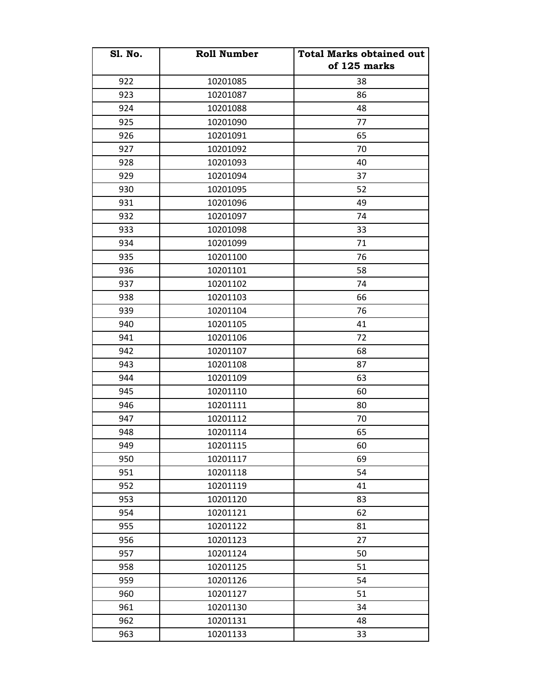| <b>S1. No.</b> | <b>Roll Number</b> | <b>Total Marks obtained out</b><br>of 125 marks |
|----------------|--------------------|-------------------------------------------------|
| 922            | 10201085           | 38                                              |
| 923            | 10201087           | 86                                              |
| 924            | 10201088           | 48                                              |
| 925            | 10201090           | 77                                              |
| 926            | 10201091           | 65                                              |
| 927            | 10201092           | 70                                              |
| 928            | 10201093           | 40                                              |
| 929            | 10201094           | 37                                              |
| 930            | 10201095           | 52                                              |
| 931            | 10201096           | 49                                              |
| 932            | 10201097           | 74                                              |
| 933            | 10201098           | 33                                              |
| 934            | 10201099           | 71                                              |
| 935            | 10201100           | 76                                              |
| 936            | 10201101           | 58                                              |
| 937            | 10201102           | 74                                              |
| 938            | 10201103           | 66                                              |
| 939            | 10201104           | 76                                              |
| 940            | 10201105           | 41                                              |
| 941            | 10201106           | 72                                              |
| 942            | 10201107           | 68                                              |
| 943            | 10201108           | 87                                              |
| 944            | 10201109           | 63                                              |
| 945            | 10201110           | 60                                              |
| 946            | 10201111           | 80                                              |
| 947            | 10201112           | 70                                              |
| 948            | 10201114           | 65                                              |
| 949            | 10201115           | 60                                              |
| 950            | 10201117           | 69                                              |
| 951            | 10201118           | 54                                              |
| 952            | 10201119           | 41                                              |
| 953            | 10201120           | 83                                              |
| 954            | 10201121           | 62                                              |
| 955            | 10201122           | 81                                              |
| 956            | 10201123           | 27                                              |
| 957            | 10201124           | 50                                              |
| 958            | 10201125           | 51                                              |
| 959            | 10201126           | 54                                              |
| 960            | 10201127           | 51                                              |
| 961            | 10201130           | 34                                              |
| 962            | 10201131           | 48                                              |
| 963            | 10201133           | 33                                              |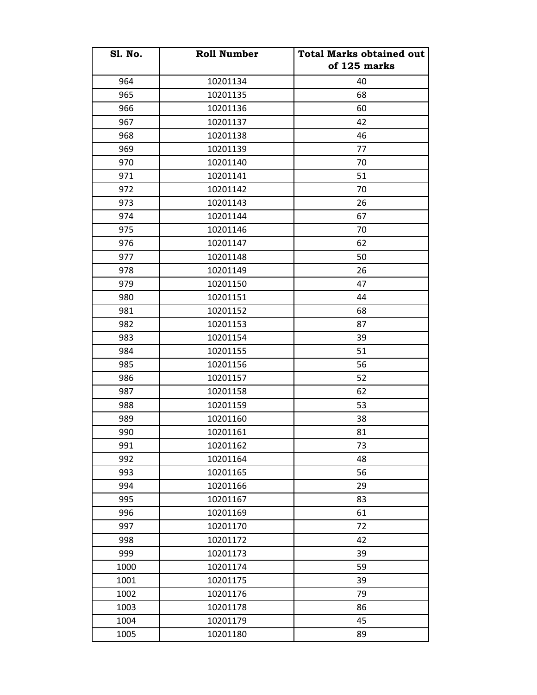| <b>S1. No.</b> | <b>Roll Number</b> | <b>Total Marks obtained out</b><br>of 125 marks |
|----------------|--------------------|-------------------------------------------------|
|                |                    |                                                 |
| 964            | 10201134           | 40                                              |
| 965            | 10201135           | 68                                              |
| 966            | 10201136           | 60                                              |
| 967            | 10201137           | 42                                              |
| 968            | 10201138           | 46                                              |
| 969            | 10201139           | 77                                              |
| 970            | 10201140           | 70                                              |
| 971            | 10201141           | 51                                              |
| 972            | 10201142           | 70                                              |
| 973            | 10201143           | 26                                              |
| 974            | 10201144           | 67                                              |
| 975            | 10201146           | 70                                              |
| 976            | 10201147           | 62                                              |
| 977            | 10201148           | 50                                              |
| 978            | 10201149           | 26                                              |
| 979            | 10201150           | 47                                              |
| 980            | 10201151           | 44                                              |
| 981            | 10201152           | 68                                              |
| 982            | 10201153           | 87                                              |
| 983            | 10201154           | 39                                              |
| 984            | 10201155           | 51                                              |
| 985            | 10201156           | 56                                              |
| 986            | 10201157           | 52                                              |
| 987            | 10201158           | 62                                              |
| 988            | 10201159           | 53                                              |
| 989            | 10201160           | 38                                              |
| 990            | 10201161           | 81                                              |
| 991            | 10201162           | 73                                              |
| 992            | 10201164           | 48                                              |
| 993            | 10201165           | 56                                              |
| 994            | 10201166           | 29                                              |
| 995            | 10201167           | 83                                              |
| 996            | 10201169           | 61                                              |
| 997            | 10201170           | 72                                              |
| 998            | 10201172           | 42                                              |
| 999            | 10201173           | 39                                              |
| 1000           | 10201174           | 59                                              |
| 1001           | 10201175           | 39                                              |
| 1002           | 10201176           | 79                                              |
| 1003           | 10201178           | 86                                              |
| 1004           | 10201179           | 45                                              |
| 1005           | 10201180           | 89                                              |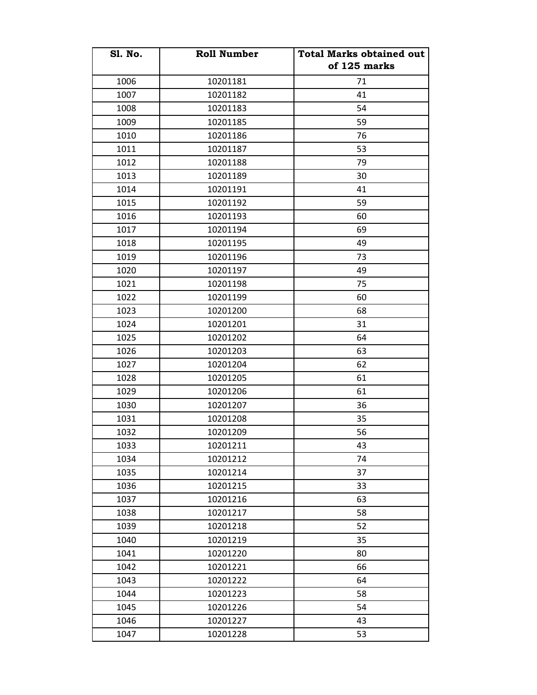| <b>S1. No.</b> | <b>Roll Number</b> | <b>Total Marks obtained out</b><br>of 125 marks |
|----------------|--------------------|-------------------------------------------------|
| 1006           | 10201181           | 71                                              |
| 1007           | 10201182           | 41                                              |
| 1008           | 10201183           | 54                                              |
| 1009           | 10201185           | 59                                              |
| 1010           | 10201186           | 76                                              |
| 1011           | 10201187           | 53                                              |
| 1012           | 10201188           | 79                                              |
| 1013           | 10201189           | 30                                              |
| 1014           | 10201191           | 41                                              |
| 1015           | 10201192           | 59                                              |
| 1016           | 10201193           | 60                                              |
| 1017           | 10201194           | 69                                              |
| 1018           | 10201195           | 49                                              |
| 1019           | 10201196           | 73                                              |
| 1020           | 10201197           | 49                                              |
| 1021           | 10201198           | 75                                              |
| 1022           | 10201199           | 60                                              |
| 1023           | 10201200           | 68                                              |
| 1024           | 10201201           | 31                                              |
| 1025           | 10201202           | 64                                              |
| 1026           | 10201203           | 63                                              |
| 1027           | 10201204           | 62                                              |
| 1028           | 10201205           | 61                                              |
| 1029           | 10201206           | 61                                              |
| 1030           | 10201207           | 36                                              |
| 1031           | 10201208           | 35                                              |
| 1032           | 10201209           | 56                                              |
| 1033           | 10201211           | 43                                              |
| 1034           | 10201212           | 74                                              |
| 1035           | 10201214           | 37                                              |
| 1036           | 10201215           | 33                                              |
| 1037           | 10201216           | 63                                              |
| 1038           | 10201217           | 58                                              |
| 1039           | 10201218           | 52                                              |
| 1040           | 10201219           | 35                                              |
| 1041           | 10201220           | 80                                              |
| 1042           | 10201221           | 66                                              |
| 1043           | 10201222           | 64                                              |
| 1044           | 10201223           | 58                                              |
| 1045           | 10201226           | 54                                              |
| 1046           | 10201227           | 43                                              |
| 1047           | 10201228           | 53                                              |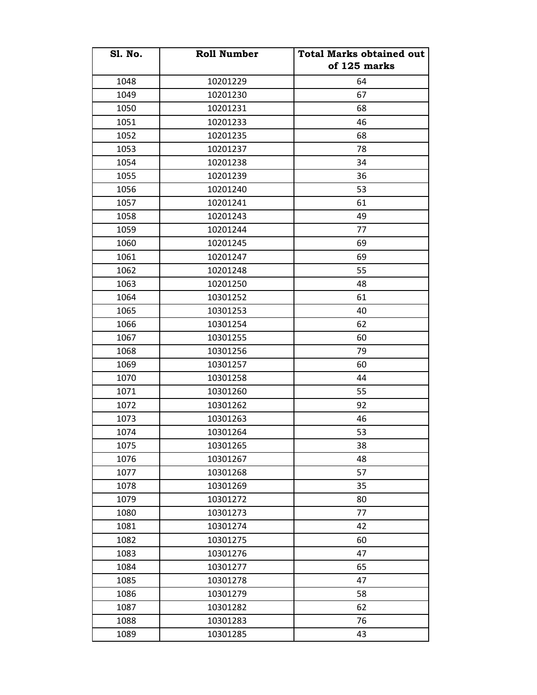| <b>S1. No.</b> | <b>Roll Number</b> | <b>Total Marks obtained out</b><br>of 125 marks |
|----------------|--------------------|-------------------------------------------------|
| 1048           | 10201229           | 64                                              |
| 1049           | 10201230           | 67                                              |
| 1050           | 10201231           | 68                                              |
| 1051           | 10201233           | 46                                              |
| 1052           | 10201235           | 68                                              |
| 1053           | 10201237           | 78                                              |
| 1054           | 10201238           | 34                                              |
| 1055           | 10201239           | 36                                              |
| 1056           | 10201240           | 53                                              |
| 1057           | 10201241           | 61                                              |
| 1058           | 10201243           | 49                                              |
| 1059           | 10201244           | 77                                              |
| 1060           | 10201245           | 69                                              |
| 1061           | 10201247           | 69                                              |
| 1062           | 10201248           | 55                                              |
| 1063           | 10201250           | 48                                              |
| 1064           | 10301252           | 61                                              |
| 1065           | 10301253           | 40                                              |
| 1066           | 10301254           | 62                                              |
| 1067           | 10301255           | 60                                              |
| 1068           | 10301256           | 79                                              |
| 1069           | 10301257           | 60                                              |
| 1070           | 10301258           | 44                                              |
| 1071           | 10301260           | 55                                              |
| 1072           | 10301262           | 92                                              |
| 1073           | 10301263           | 46                                              |
| 1074           | 10301264           | 53                                              |
| 1075           | 10301265           | 38                                              |
| 1076           | 10301267           | 48                                              |
| 1077           | 10301268           | 57                                              |
| 1078           | 10301269           | 35                                              |
| 1079           | 10301272           | 80                                              |
| 1080           | 10301273           | 77                                              |
| 1081           | 10301274           | 42                                              |
| 1082           | 10301275           | 60                                              |
| 1083           | 10301276           | 47                                              |
| 1084           | 10301277           | 65                                              |
| 1085           | 10301278           | 47                                              |
| 1086           | 10301279           | 58                                              |
| 1087           | 10301282           | 62                                              |
| 1088           | 10301283           | 76                                              |
| 1089           | 10301285           | 43                                              |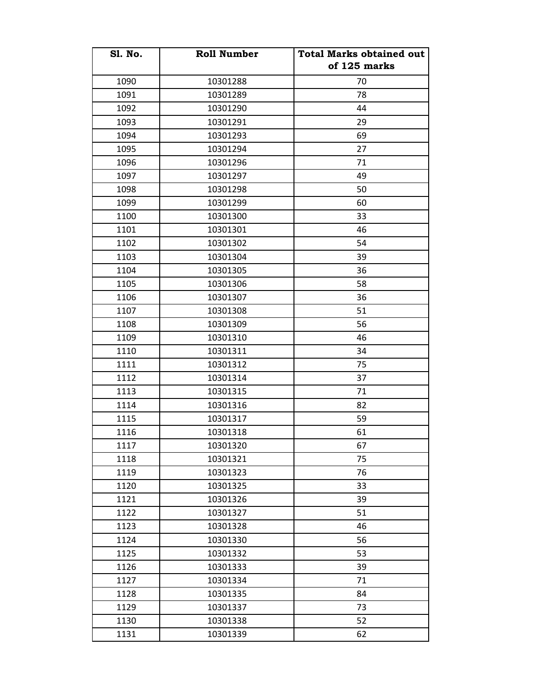| <b>S1. No.</b> | <b>Roll Number</b> | <b>Total Marks obtained out</b><br>of 125 marks |
|----------------|--------------------|-------------------------------------------------|
| 1090           | 10301288           | 70                                              |
| 1091           | 10301289           | 78                                              |
| 1092           | 10301290           | 44                                              |
| 1093           | 10301291           | 29                                              |
| 1094           | 10301293           | 69                                              |
| 1095           | 10301294           | 27                                              |
| 1096           | 10301296           | 71                                              |
| 1097           | 10301297           | 49                                              |
| 1098           | 10301298           | 50                                              |
| 1099           | 10301299           | 60                                              |
| 1100           | 10301300           | 33                                              |
| 1101           | 10301301           | 46                                              |
| 1102           | 10301302           | 54                                              |
| 1103           | 10301304           | 39                                              |
| 1104           | 10301305           | 36                                              |
| 1105           | 10301306           | 58                                              |
| 1106           | 10301307           | 36                                              |
| 1107           | 10301308           | 51                                              |
| 1108           | 10301309           | 56                                              |
| 1109           | 10301310           | 46                                              |
| 1110           | 10301311           | 34                                              |
| 1111           | 10301312           | 75                                              |
| 1112           | 10301314           | 37                                              |
| 1113           | 10301315           | 71                                              |
| 1114           | 10301316           | 82                                              |
| 1115           | 10301317           | 59                                              |
| 1116           | 10301318           | 61                                              |
| 1117           | 10301320           | 67                                              |
| 1118           | 10301321           | 75                                              |
| 1119           | 10301323           | 76                                              |
| 1120           | 10301325           | 33                                              |
| 1121           | 10301326           | 39                                              |
| 1122           | 10301327           | 51                                              |
| 1123           | 10301328           | 46                                              |
| 1124           | 10301330           | 56                                              |
| 1125           | 10301332           | 53                                              |
| 1126           | 10301333           | 39                                              |
| 1127           | 10301334           | 71                                              |
| 1128           | 10301335           | 84                                              |
| 1129           | 10301337           | 73                                              |
| 1130           | 10301338           | 52                                              |
| 1131           | 10301339           | 62                                              |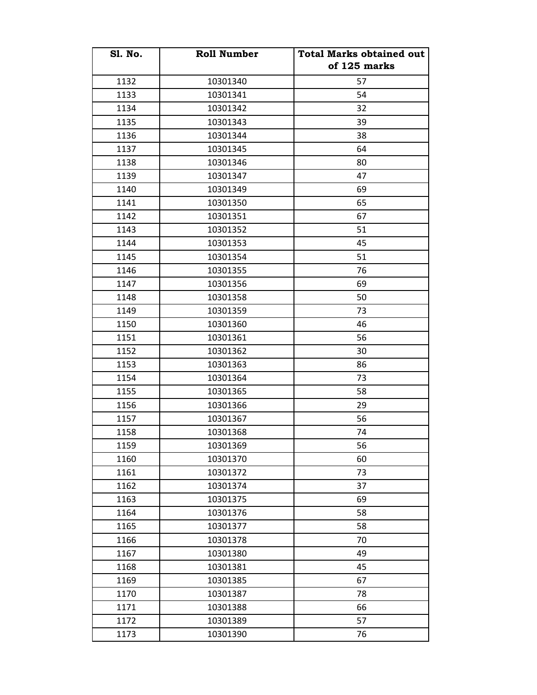| <b>S1. No.</b> | <b>Roll Number</b> | <b>Total Marks obtained out</b><br>of 125 marks |
|----------------|--------------------|-------------------------------------------------|
| 1132           | 10301340           | 57                                              |
| 1133           | 10301341           | 54                                              |
| 1134           | 10301342           | 32                                              |
| 1135           | 10301343           | 39                                              |
| 1136           | 10301344           | 38                                              |
| 1137           | 10301345           | 64                                              |
| 1138           | 10301346           | 80                                              |
| 1139           | 10301347           | 47                                              |
| 1140           | 10301349           | 69                                              |
| 1141           | 10301350           | 65                                              |
| 1142           | 10301351           | 67                                              |
| 1143           | 10301352           | 51                                              |
| 1144           | 10301353           | 45                                              |
| 1145           | 10301354           | 51                                              |
| 1146           | 10301355           | 76                                              |
| 1147           | 10301356           | 69                                              |
| 1148           | 10301358           | 50                                              |
| 1149           | 10301359           | 73                                              |
| 1150           | 10301360           | 46                                              |
| 1151           | 10301361           | 56                                              |
| 1152           | 10301362           | 30                                              |
| 1153           | 10301363           | 86                                              |
| 1154           | 10301364           | 73                                              |
| 1155           | 10301365           | 58                                              |
| 1156           | 10301366           | 29                                              |
| 1157           | 10301367           | 56                                              |
| 1158           | 10301368           | 74                                              |
| 1159           | 10301369           | 56                                              |
| 1160           | 10301370           | 60                                              |
| 1161           | 10301372           | 73                                              |
| 1162           | 10301374           | 37                                              |
| 1163           | 10301375           | 69                                              |
| 1164           | 10301376           | 58                                              |
| 1165           | 10301377           | 58                                              |
| 1166           | 10301378           | 70                                              |
| 1167           | 10301380           | 49                                              |
| 1168           | 10301381           | 45                                              |
| 1169           | 10301385           | 67                                              |
| 1170           | 10301387           | 78                                              |
| 1171           | 10301388           | 66                                              |
| 1172           | 10301389           | 57                                              |
| 1173           | 10301390           | 76                                              |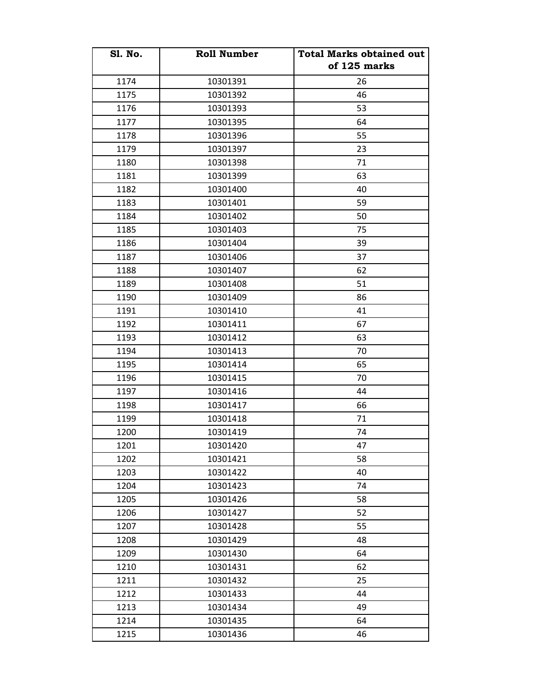| <b>S1. No.</b> | <b>Roll Number</b> | <b>Total Marks obtained out</b><br>of 125 marks |
|----------------|--------------------|-------------------------------------------------|
| 1174           | 10301391           | 26                                              |
| 1175           | 10301392           | 46                                              |
| 1176           | 10301393           | 53                                              |
| 1177           | 10301395           | 64                                              |
| 1178           | 10301396           | 55                                              |
| 1179           | 10301397           | 23                                              |
| 1180           | 10301398           | 71                                              |
| 1181           | 10301399           | 63                                              |
| 1182           | 10301400           | 40                                              |
| 1183           | 10301401           | 59                                              |
| 1184           | 10301402           | 50                                              |
| 1185           | 10301403           | 75                                              |
| 1186           | 10301404           | 39                                              |
| 1187           | 10301406           | 37                                              |
| 1188           | 10301407           | 62                                              |
| 1189           | 10301408           | 51                                              |
| 1190           | 10301409           | 86                                              |
| 1191           | 10301410           | 41                                              |
| 1192           | 10301411           | 67                                              |
| 1193           | 10301412           | 63                                              |
| 1194           | 10301413           | 70                                              |
| 1195           | 10301414           | 65                                              |
| 1196           | 10301415           | 70                                              |
| 1197           | 10301416           | 44                                              |
| 1198           | 10301417           | 66                                              |
| 1199           | 10301418           | 71                                              |
| 1200           | 10301419           | 74                                              |
| 1201           | 10301420           | 47                                              |
| 1202           | 10301421           | 58                                              |
| 1203           | 10301422           | 40                                              |
| 1204           | 10301423           | 74                                              |
| 1205           | 10301426           | 58                                              |
| 1206           | 10301427           | 52                                              |
| 1207           | 10301428           | 55                                              |
| 1208           | 10301429           | 48                                              |
| 1209           | 10301430           | 64                                              |
| 1210           | 10301431           | 62                                              |
| 1211           | 10301432           | 25                                              |
| 1212           | 10301433           | 44                                              |
| 1213           | 10301434           | 49                                              |
| 1214           | 10301435           | 64                                              |
| 1215           | 10301436           | 46                                              |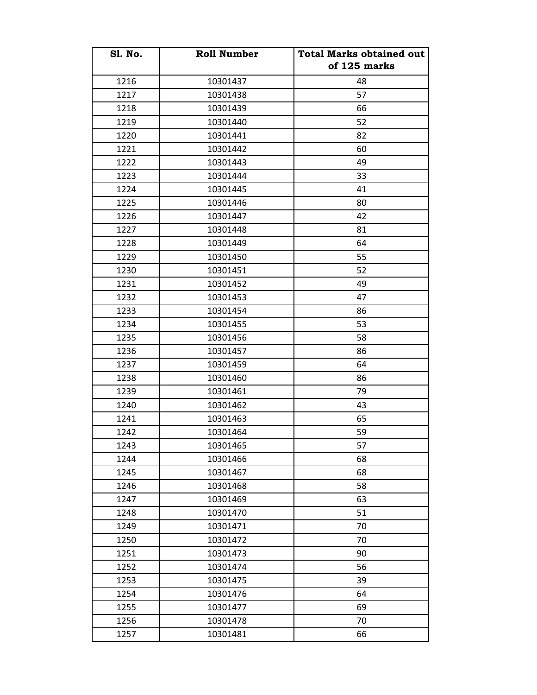| <b>S1. No.</b> | <b>Roll Number</b> | <b>Total Marks obtained out</b><br>of 125 marks |
|----------------|--------------------|-------------------------------------------------|
| 1216           | 10301437           | 48                                              |
| 1217           | 10301438           | 57                                              |
| 1218           | 10301439           | 66                                              |
| 1219           | 10301440           | 52                                              |
| 1220           | 10301441           | 82                                              |
| 1221           | 10301442           | 60                                              |
| 1222           | 10301443           | 49                                              |
| 1223           | 10301444           | 33                                              |
| 1224           | 10301445           | 41                                              |
| 1225           | 10301446           | 80                                              |
| 1226           | 10301447           | 42                                              |
| 1227           | 10301448           | 81                                              |
| 1228           | 10301449           | 64                                              |
| 1229           | 10301450           | 55                                              |
| 1230           | 10301451           | 52                                              |
| 1231           | 10301452           | 49                                              |
| 1232           | 10301453           | 47                                              |
| 1233           | 10301454           | 86                                              |
| 1234           | 10301455           | 53                                              |
| 1235           | 10301456           | 58                                              |
| 1236           | 10301457           | 86                                              |
| 1237           | 10301459           | 64                                              |
| 1238           | 10301460           | 86                                              |
| 1239           | 10301461           | 79                                              |
| 1240           | 10301462           | 43                                              |
| 1241           | 10301463           | 65                                              |
| 1242           | 10301464           | 59                                              |
| 1243           | 10301465           | 57                                              |
| 1244           | 10301466           | 68                                              |
| 1245           | 10301467           | 68                                              |
| 1246           | 10301468           | 58                                              |
| 1247           | 10301469           | 63                                              |
| 1248           | 10301470           | 51                                              |
| 1249           | 10301471           | 70                                              |
| 1250           | 10301472           | 70                                              |
| 1251           | 10301473           | 90                                              |
| 1252           | 10301474           | 56                                              |
| 1253           | 10301475           | 39                                              |
| 1254           | 10301476           | 64                                              |
| 1255           | 10301477           | 69                                              |
| 1256           | 10301478           | 70                                              |
| 1257           | 10301481           | 66                                              |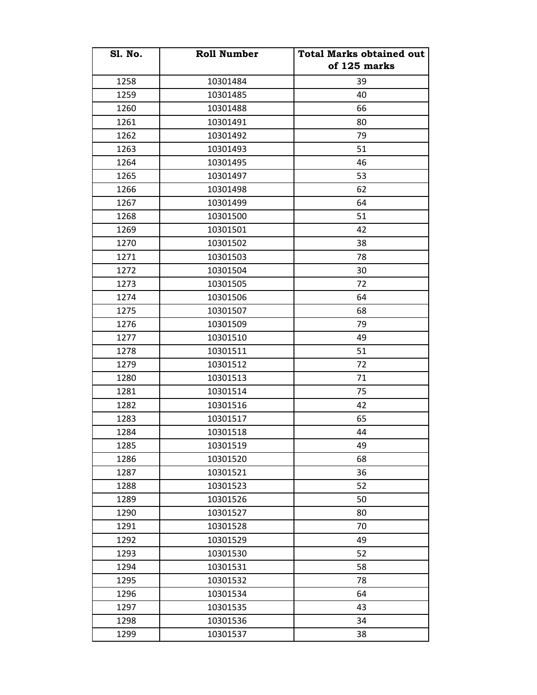| <b>S1. No.</b> | <b>Roll Number</b> | <b>Total Marks obtained out</b><br>of 125 marks |
|----------------|--------------------|-------------------------------------------------|
| 1258           | 10301484           | 39                                              |
| 1259           | 10301485           | 40                                              |
| 1260           | 10301488           | 66                                              |
| 1261           | 10301491           | 80                                              |
| 1262           | 10301492           | 79                                              |
| 1263           | 10301493           | 51                                              |
| 1264           | 10301495           | 46                                              |
| 1265           | 10301497           | 53                                              |
| 1266           | 10301498           | 62                                              |
| 1267           | 10301499           | 64                                              |
| 1268           | 10301500           | 51                                              |
| 1269           | 10301501           | 42                                              |
| 1270           | 10301502           | 38                                              |
| 1271           | 10301503           | 78                                              |
| 1272           | 10301504           | 30                                              |
| 1273           | 10301505           | 72                                              |
| 1274           | 10301506           | 64                                              |
| 1275           | 10301507           | 68                                              |
| 1276           | 10301509           | 79                                              |
| 1277           | 10301510           | 49                                              |
| 1278           | 10301511           | 51                                              |
| 1279           | 10301512           | 72                                              |
| 1280           | 10301513           | 71                                              |
| 1281           | 10301514           | 75                                              |
| 1282           | 10301516           | 42                                              |
| 1283           | 10301517           | 65                                              |
| 1284           | 10301518           | 44                                              |
| 1285           | 10301519           | 49                                              |
| 1286           | 10301520           | 68                                              |
| 1287           | 10301521           | 36                                              |
| 1288           | 10301523           | 52                                              |
| 1289           | 10301526           | 50                                              |
| 1290           | 10301527           | 80                                              |
| 1291           | 10301528           | 70                                              |
| 1292           | 10301529           | 49                                              |
| 1293           | 10301530           | 52                                              |
| 1294           | 10301531           | 58                                              |
| 1295           | 10301532           | 78                                              |
| 1296           | 10301534           | 64                                              |
| 1297           | 10301535           | 43                                              |
| 1298           | 10301536           | 34                                              |
| 1299           | 10301537           | 38                                              |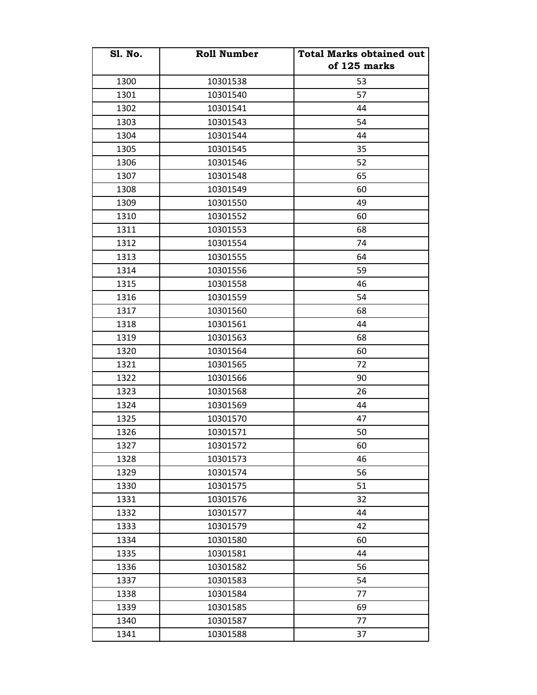| <b>S1. No.</b> | <b>Roll Number</b> | <b>Total Marks obtained out</b> |
|----------------|--------------------|---------------------------------|
|                |                    | of 125 marks                    |
| 1300           | 10301538           | 53                              |
| 1301           | 10301540           | 57                              |
| 1302           | 10301541           | 44                              |
| 1303           | 10301543           | 54                              |
| 1304           | 10301544           | 44                              |
| 1305           | 10301545           | 35                              |
| 1306           | 10301546           | 52                              |
| 1307           | 10301548           | 65                              |
| 1308           | 10301549           | 60                              |
| 1309           | 10301550           | 49                              |
| 1310           | 10301552           | 60                              |
| 1311           | 10301553           | 68                              |
| 1312           | 10301554           | 74                              |
| 1313           | 10301555           | 64                              |
| 1314           | 10301556           | 59                              |
| 1315           | 10301558           | 46                              |
| 1316           | 10301559           | 54                              |
| 1317           | 10301560           | 68                              |
| 1318           | 10301561           | 44                              |
| 1319           | 10301563           | 68                              |
| 1320           | 10301564           | 60                              |
| 1321           | 10301565           | 72                              |
| 1322           | 10301566           | 90                              |
| 1323           | 10301568           | 26                              |
| 1324           | 10301569           | 44                              |
| 1325           | 10301570           | 47                              |
| 1326           | 10301571           | 50                              |
| 1327           | 10301572           | 60                              |
| 1328           | 10301573           | 46                              |
| 1329           | 10301574           | 56                              |
| 1330           | 10301575           | 51                              |
| 1331           | 10301576           | 32                              |
| 1332           | 10301577           | 44                              |
| 1333           | 10301579           | 42                              |
| 1334           | 10301580           | 60                              |
| 1335           | 10301581           | 44                              |
| 1336           | 10301582           | 56                              |
| 1337           | 10301583           | 54                              |
| 1338           | 10301584           | 77                              |
| 1339           | 10301585           | 69                              |
| 1340           | 10301587           | 77                              |
| 1341           | 10301588           | 37                              |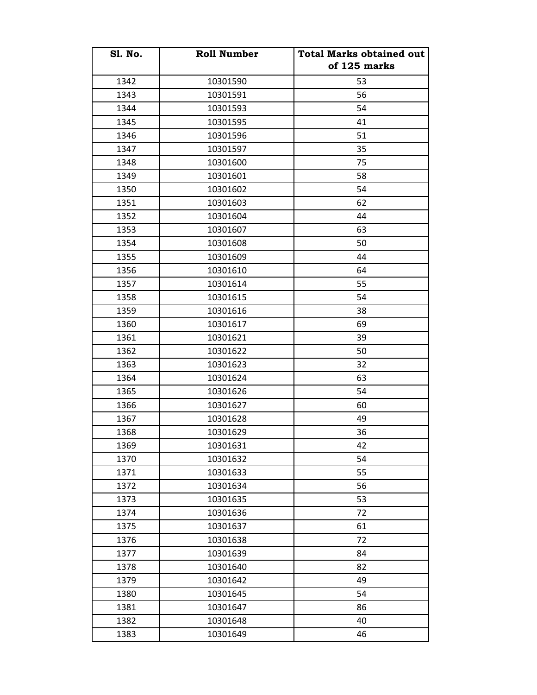| <b>S1. No.</b> | <b>Roll Number</b> | <b>Total Marks obtained out</b><br>of 125 marks |
|----------------|--------------------|-------------------------------------------------|
| 1342           | 10301590           | 53                                              |
| 1343           | 10301591           | 56                                              |
| 1344           | 10301593           | 54                                              |
| 1345           | 10301595           | 41                                              |
| 1346           | 10301596           | 51                                              |
| 1347           | 10301597           | 35                                              |
| 1348           | 10301600           | 75                                              |
| 1349           | 10301601           | 58                                              |
|                |                    | 54                                              |
| 1350           | 10301602           | 62                                              |
| 1351           | 10301603           |                                                 |
| 1352           | 10301604           | 44                                              |
| 1353           | 10301607           | 63                                              |
| 1354           | 10301608           | 50                                              |
| 1355           | 10301609           | 44                                              |
| 1356           | 10301610           | 64                                              |
| 1357           | 10301614           | 55                                              |
| 1358           | 10301615           | 54                                              |
| 1359           | 10301616           | 38                                              |
| 1360           | 10301617           | 69                                              |
| 1361           | 10301621           | 39                                              |
| 1362           | 10301622           | 50                                              |
| 1363           | 10301623           | 32                                              |
| 1364           | 10301624           | 63                                              |
| 1365           | 10301626           | 54                                              |
| 1366           | 10301627           | 60                                              |
| 1367           | 10301628           | 49                                              |
| 1368           | 10301629           | 36                                              |
| 1369           | 10301631           | 42                                              |
| 1370           | 10301632           | 54                                              |
| 1371           | 10301633           | 55                                              |
| 1372           | 10301634           | 56                                              |
| 1373           | 10301635           | 53                                              |
| 1374           | 10301636           | 72                                              |
| 1375           | 10301637           | 61                                              |
| 1376           | 10301638           | 72                                              |
| 1377           | 10301639           | 84                                              |
| 1378           | 10301640           | 82                                              |
| 1379           | 10301642           | 49                                              |
| 1380           | 10301645           | 54                                              |
| 1381           | 10301647           | 86                                              |
| 1382           | 10301648           | 40                                              |
| 1383           | 10301649           | 46                                              |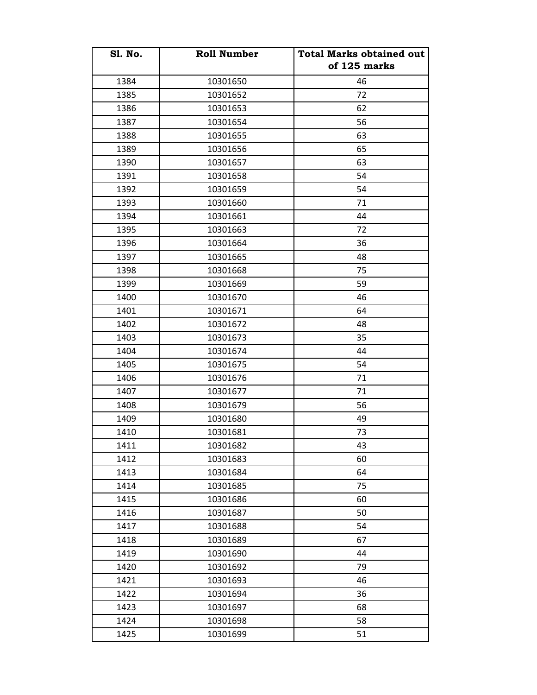| <b>S1. No.</b> | <b>Roll Number</b> | <b>Total Marks obtained out</b><br>of 125 marks |
|----------------|--------------------|-------------------------------------------------|
| 1384           | 10301650           | 46                                              |
| 1385           | 10301652           | 72                                              |
| 1386           | 10301653           | 62                                              |
| 1387           | 10301654           | 56                                              |
| 1388           | 10301655           | 63                                              |
| 1389           | 10301656           | 65                                              |
| 1390           | 10301657           | 63                                              |
| 1391           | 10301658           | 54                                              |
| 1392           | 10301659           | 54                                              |
| 1393           | 10301660           | 71                                              |
| 1394           | 10301661           | 44                                              |
| 1395           | 10301663           | 72                                              |
| 1396           | 10301664           | 36                                              |
| 1397           | 10301665           | 48                                              |
| 1398           | 10301668           | 75                                              |
| 1399           | 10301669           | 59                                              |
| 1400           | 10301670           | 46                                              |
| 1401           | 10301671           | 64                                              |
| 1402           | 10301672           | 48                                              |
| 1403           | 10301673           | 35                                              |
| 1404           | 10301674           | 44                                              |
| 1405           | 10301675           | 54                                              |
| 1406           | 10301676           | 71                                              |
| 1407           | 10301677           | 71                                              |
| 1408           | 10301679           | 56                                              |
| 1409           | 10301680           | 49                                              |
| 1410           | 10301681           | 73                                              |
| 1411           | 10301682           | 43                                              |
| 1412           | 10301683           | 60                                              |
| 1413           | 10301684           | 64                                              |
| 1414           | 10301685           | 75                                              |
| 1415           | 10301686           | 60                                              |
| 1416           | 10301687           | 50                                              |
| 1417           | 10301688           | 54                                              |
| 1418           | 10301689           | 67                                              |
| 1419           | 10301690           | 44                                              |
| 1420           | 10301692           | 79                                              |
| 1421           | 10301693           | 46                                              |
| 1422           | 10301694           | 36                                              |
| 1423           | 10301697           | 68                                              |
| 1424           | 10301698           | 58                                              |
| 1425           | 10301699           | 51                                              |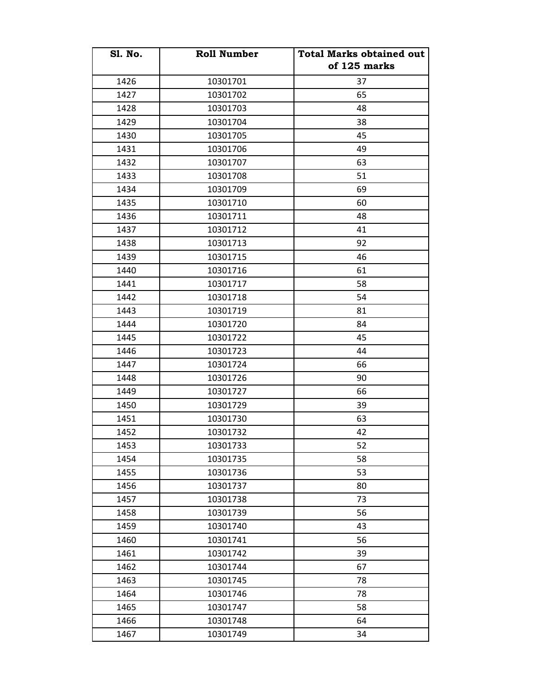| <b>S1. No.</b> | <b>Roll Number</b> | <b>Total Marks obtained out</b><br>of 125 marks |
|----------------|--------------------|-------------------------------------------------|
| 1426           | 10301701           | 37                                              |
| 1427           | 10301702           | 65                                              |
| 1428           | 10301703           | 48                                              |
| 1429           | 10301704           | 38                                              |
| 1430           | 10301705           | 45                                              |
| 1431           | 10301706           | 49                                              |
| 1432           | 10301707           | 63                                              |
| 1433           | 10301708           | 51                                              |
| 1434           | 10301709           | 69                                              |
| 1435           | 10301710           | 60                                              |
| 1436           | 10301711           | 48                                              |
| 1437           | 10301712           | 41                                              |
| 1438           | 10301713           | 92                                              |
| 1439           | 10301715           | 46                                              |
| 1440           | 10301716           | 61                                              |
| 1441           | 10301717           | 58                                              |
| 1442           | 10301718           | 54                                              |
| 1443           | 10301719           | 81                                              |
| 1444           | 10301720           | 84                                              |
| 1445           | 10301722           | 45                                              |
| 1446           | 10301723           | 44                                              |
| 1447           | 10301724           | 66                                              |
| 1448           | 10301726           | 90                                              |
| 1449           | 10301727           | 66                                              |
| 1450           | 10301729           | 39                                              |
| 1451           | 10301730           | 63                                              |
| 1452           | 10301732           | 42                                              |
| 1453           | 10301733           | 52                                              |
| 1454           | 10301735           | 58                                              |
| 1455           | 10301736           | 53                                              |
| 1456           | 10301737           | 80                                              |
| 1457           | 10301738           | 73                                              |
| 1458           | 10301739           | 56                                              |
| 1459           | 10301740           | 43                                              |
| 1460           | 10301741           | 56                                              |
| 1461           | 10301742           | 39                                              |
| 1462           | 10301744           | 67                                              |
| 1463           | 10301745           | 78                                              |
| 1464           | 10301746           | 78                                              |
| 1465           | 10301747           | 58                                              |
| 1466           | 10301748           | 64                                              |
| 1467           | 10301749           | 34                                              |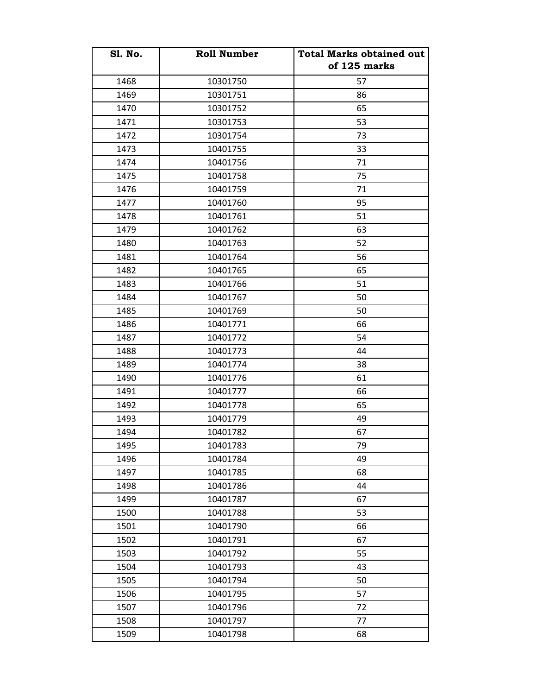| <b>S1. No.</b> | <b>Roll Number</b> | <b>Total Marks obtained out</b><br>of 125 marks |
|----------------|--------------------|-------------------------------------------------|
| 1468           | 10301750           | 57                                              |
| 1469           | 10301751           | 86                                              |
| 1470           | 10301752           | 65                                              |
| 1471           | 10301753           | 53                                              |
| 1472           | 10301754           | 73                                              |
| 1473           | 10401755           | 33                                              |
| 1474           | 10401756           | 71                                              |
| 1475           | 10401758           | 75                                              |
| 1476           | 10401759           | 71                                              |
| 1477           | 10401760           | 95                                              |
| 1478           | 10401761           | 51                                              |
| 1479           | 10401762           | 63                                              |
| 1480           | 10401763           | 52                                              |
| 1481           | 10401764           | 56                                              |
| 1482           | 10401765           | 65                                              |
| 1483           | 10401766           | 51                                              |
| 1484           | 10401767           | 50                                              |
| 1485           | 10401769           | 50                                              |
| 1486           | 10401771           | 66                                              |
| 1487           | 10401772           | 54                                              |
| 1488           | 10401773           | 44                                              |
| 1489           | 10401774           | 38                                              |
| 1490           | 10401776           | 61                                              |
| 1491           | 10401777           | 66                                              |
| 1492           | 10401778           | 65                                              |
| 1493           | 10401779           | 49                                              |
| 1494           | 10401782           | 67                                              |
| 1495           | 10401783           | 79                                              |
| 1496           | 10401784           | 49                                              |
| 1497           | 10401785           | 68                                              |
| 1498           | 10401786           | 44                                              |
| 1499           | 10401787           | 67                                              |
| 1500           | 10401788           | 53                                              |
| 1501           | 10401790           | 66                                              |
| 1502           | 10401791           | 67                                              |
| 1503           | 10401792           | 55                                              |
| 1504           | 10401793           | 43                                              |
| 1505           | 10401794           | 50                                              |
| 1506           | 10401795           | 57                                              |
| 1507           | 10401796           | 72                                              |
| 1508           | 10401797           | 77                                              |
| 1509           | 10401798           | 68                                              |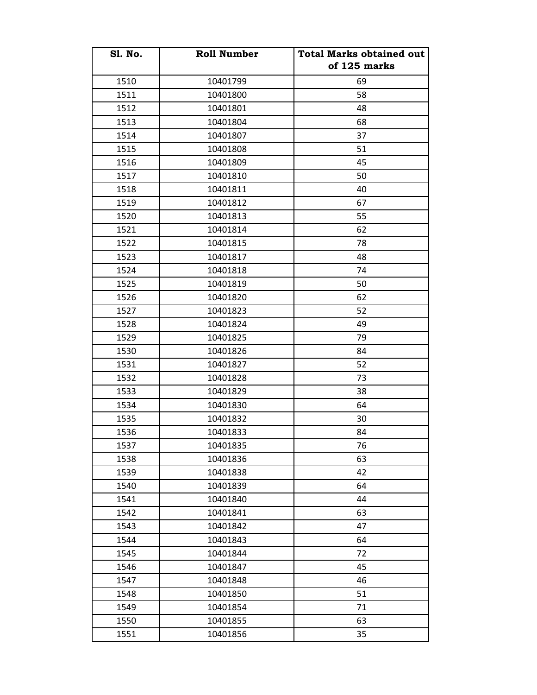| <b>S1. No.</b> | <b>Roll Number</b> | <b>Total Marks obtained out</b><br>of 125 marks |
|----------------|--------------------|-------------------------------------------------|
| 1510           | 10401799           | 69                                              |
| 1511           | 10401800           | 58                                              |
| 1512           | 10401801           | 48                                              |
| 1513           | 10401804           | 68                                              |
| 1514           | 10401807           | 37                                              |
| 1515           | 10401808           | 51                                              |
| 1516           | 10401809           | 45                                              |
| 1517           | 10401810           | 50                                              |
| 1518           | 10401811           | 40                                              |
| 1519           | 10401812           | 67                                              |
| 1520           | 10401813           | 55                                              |
| 1521           | 10401814           | 62                                              |
| 1522           | 10401815           | 78                                              |
| 1523           | 10401817           | 48                                              |
| 1524           | 10401818           | 74                                              |
| 1525           | 10401819           | 50                                              |
| 1526           | 10401820           | 62                                              |
| 1527           | 10401823           | 52                                              |
| 1528           | 10401824           | 49                                              |
| 1529           | 10401825           | 79                                              |
| 1530           | 10401826           | 84                                              |
| 1531           | 10401827           | 52                                              |
| 1532           | 10401828           | 73                                              |
| 1533           | 10401829           | 38                                              |
| 1534           | 10401830           | 64                                              |
| 1535           | 10401832           | 30                                              |
| 1536           | 10401833           | 84                                              |
| 1537           | 10401835           | 76                                              |
| 1538           | 10401836           | 63                                              |
| 1539           | 10401838           | 42                                              |
| 1540           | 10401839           | 64                                              |
| 1541           | 10401840           | 44                                              |
| 1542           | 10401841           | 63                                              |
| 1543           | 10401842           | 47                                              |
| 1544           | 10401843           | 64                                              |
| 1545           | 10401844           | 72                                              |
| 1546           | 10401847           | 45                                              |
| 1547           | 10401848           | 46                                              |
| 1548           | 10401850           | 51                                              |
| 1549           | 10401854           | 71                                              |
| 1550           | 10401855           | 63                                              |
| 1551           | 10401856           | 35                                              |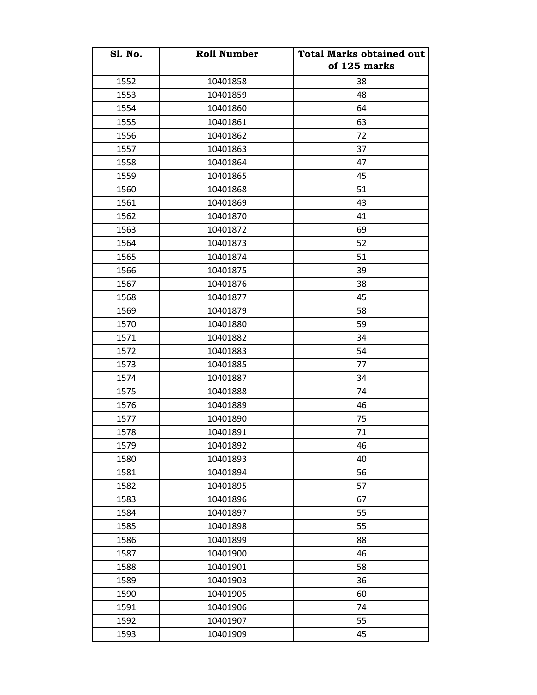| <b>S1. No.</b> | <b>Roll Number</b> | <b>Total Marks obtained out</b><br>of 125 marks |
|----------------|--------------------|-------------------------------------------------|
| 1552           | 10401858           | 38                                              |
| 1553           | 10401859           | 48                                              |
| 1554           | 10401860           | 64                                              |
| 1555           | 10401861           | 63                                              |
| 1556           | 10401862           | 72                                              |
| 1557           | 10401863           | 37                                              |
| 1558           | 10401864           | 47                                              |
| 1559           | 10401865           | 45                                              |
|                |                    | 51                                              |
| 1560           | 10401868           | 43                                              |
| 1561           | 10401869           |                                                 |
| 1562           | 10401870           | 41                                              |
| 1563           | 10401872           | 69                                              |
| 1564           | 10401873           | 52                                              |
| 1565           | 10401874           | 51                                              |
| 1566           | 10401875           | 39                                              |
| 1567           | 10401876           | 38                                              |
| 1568           | 10401877           | 45                                              |
| 1569           | 10401879           | 58                                              |
| 1570           | 10401880           | 59                                              |
| 1571           | 10401882           | 34                                              |
| 1572           | 10401883           | 54                                              |
| 1573           | 10401885           | 77                                              |
| 1574           | 10401887           | 34                                              |
| 1575           | 10401888           | 74                                              |
| 1576           | 10401889           | 46                                              |
| 1577           | 10401890           | 75                                              |
| 1578           | 10401891           | 71                                              |
| 1579           | 10401892           | 46                                              |
| 1580           | 10401893           | 40                                              |
| 1581           | 10401894           | 56                                              |
| 1582           | 10401895           | 57                                              |
| 1583           | 10401896           | 67                                              |
| 1584           | 10401897           | 55                                              |
| 1585           | 10401898           | 55                                              |
| 1586           | 10401899           | 88                                              |
| 1587           | 10401900           | 46                                              |
| 1588           | 10401901           | 58                                              |
| 1589           | 10401903           | 36                                              |
| 1590           | 10401905           | 60                                              |
| 1591           | 10401906           | 74                                              |
| 1592           | 10401907           | 55                                              |
| 1593           | 10401909           | 45                                              |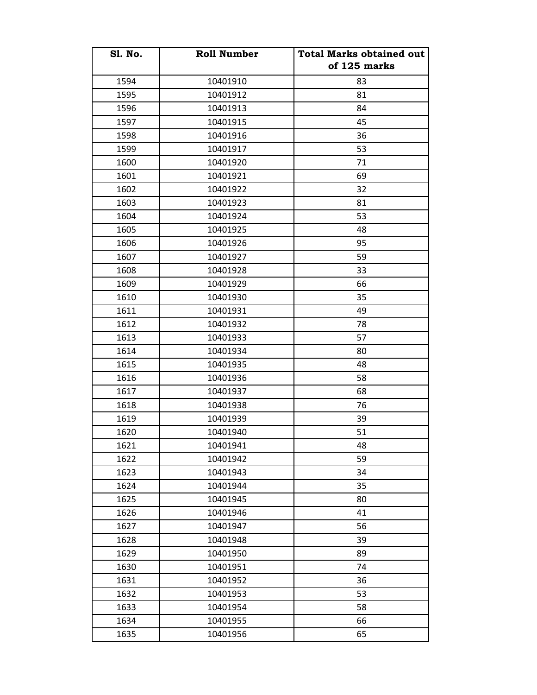| <b>S1. No.</b> | <b>Roll Number</b> | <b>Total Marks obtained out</b><br>of 125 marks |
|----------------|--------------------|-------------------------------------------------|
| 1594           | 10401910           | 83                                              |
| 1595           | 10401912           | 81                                              |
| 1596           | 10401913           | 84                                              |
| 1597           | 10401915           | 45                                              |
| 1598           | 10401916           | 36                                              |
| 1599           | 10401917           | 53                                              |
| 1600           | 10401920           | 71                                              |
| 1601           | 10401921           | 69                                              |
| 1602           | 10401922           | 32                                              |
| 1603           | 10401923           | 81                                              |
| 1604           | 10401924           | 53                                              |
| 1605           | 10401925           | 48                                              |
| 1606           | 10401926           | 95                                              |
| 1607           | 10401927           | 59                                              |
| 1608           | 10401928           | 33                                              |
| 1609           | 10401929           | 66                                              |
| 1610           | 10401930           | 35                                              |
| 1611           | 10401931           | 49                                              |
| 1612           | 10401932           | 78                                              |
| 1613           | 10401933           | 57                                              |
| 1614           | 10401934           | 80                                              |
| 1615           | 10401935           | 48                                              |
| 1616           | 10401936           | 58                                              |
| 1617           | 10401937           | 68                                              |
| 1618           | 10401938           | 76                                              |
| 1619           | 10401939           | 39                                              |
| 1620           | 10401940           | 51                                              |
| 1621           | 10401941           | 48                                              |
| 1622           | 10401942           | 59                                              |
| 1623           | 10401943           | 34                                              |
| 1624           | 10401944           | 35                                              |
| 1625           | 10401945           | 80                                              |
| 1626           | 10401946           | 41                                              |
| 1627           | 10401947           | 56                                              |
| 1628           | 10401948           | 39                                              |
| 1629           | 10401950           | 89                                              |
| 1630           | 10401951           | 74                                              |
| 1631           | 10401952           | 36                                              |
| 1632           | 10401953           | 53                                              |
| 1633           | 10401954           | 58                                              |
| 1634           | 10401955           | 66                                              |
| 1635           | 10401956           | 65                                              |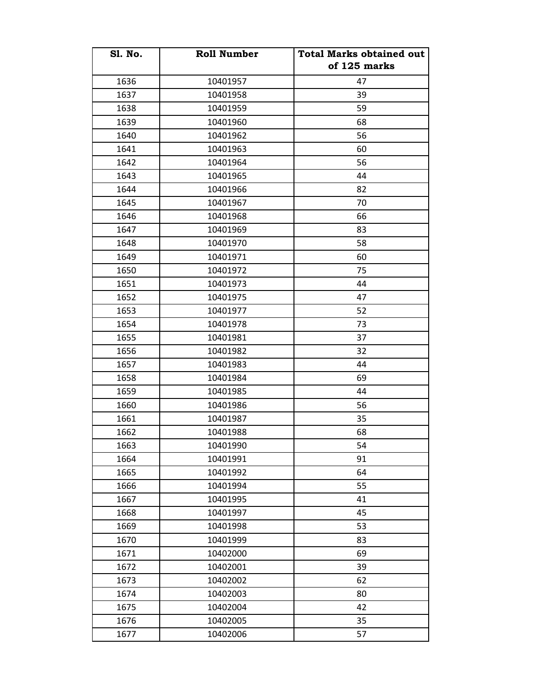| <b>S1. No.</b> | <b>Roll Number</b> | <b>Total Marks obtained out</b><br>of 125 marks |
|----------------|--------------------|-------------------------------------------------|
| 1636           | 10401957           | 47                                              |
| 1637           | 10401958           | 39                                              |
| 1638           | 10401959           | 59                                              |
| 1639           | 10401960           | 68                                              |
| 1640           | 10401962           | 56                                              |
| 1641           | 10401963           | 60                                              |
| 1642           | 10401964           | 56                                              |
| 1643           | 10401965           | 44                                              |
| 1644           | 10401966           | 82                                              |
| 1645           | 10401967           | 70                                              |
| 1646           | 10401968           | 66                                              |
| 1647           | 10401969           | 83                                              |
| 1648           | 10401970           | 58                                              |
| 1649           | 10401971           | 60                                              |
| 1650           | 10401972           | 75                                              |
| 1651           | 10401973           | 44                                              |
| 1652           | 10401975           | 47                                              |
| 1653           | 10401977           | 52                                              |
| 1654           | 10401978           | 73                                              |
| 1655           | 10401981           | 37                                              |
| 1656           | 10401982           | 32                                              |
| 1657           | 10401983           | 44                                              |
| 1658           | 10401984           | 69                                              |
| 1659           | 10401985           | 44                                              |
| 1660           | 10401986           | 56                                              |
| 1661           | 10401987           | 35                                              |
| 1662           | 10401988           | 68                                              |
| 1663           | 10401990           | 54                                              |
| 1664           | 10401991           | 91                                              |
| 1665           | 10401992           | 64                                              |
| 1666           | 10401994           | 55                                              |
| 1667           | 10401995           | 41                                              |
| 1668           | 10401997           | 45                                              |
| 1669           | 10401998           | 53                                              |
| 1670           | 10401999           | 83                                              |
| 1671           | 10402000           | 69                                              |
| 1672           | 10402001           | 39                                              |
| 1673           | 10402002           | 62                                              |
| 1674           | 10402003           | 80                                              |
| 1675           | 10402004           | 42                                              |
| 1676           | 10402005           | 35                                              |
| 1677           | 10402006           | 57                                              |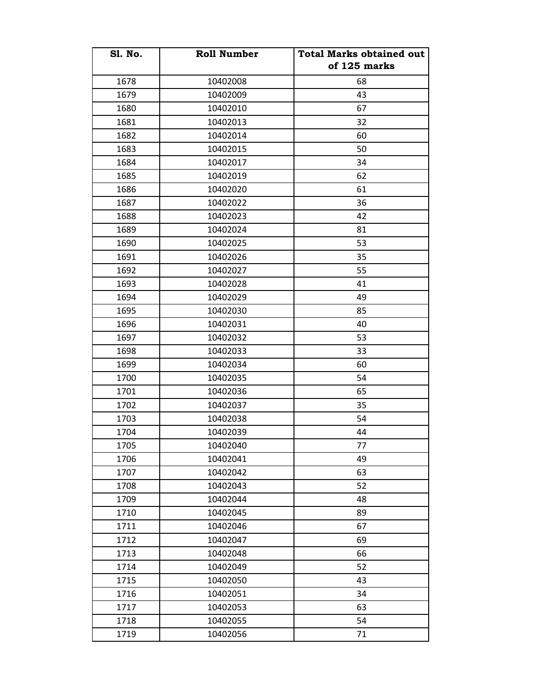| <b>S1. No.</b> | <b>Roll Number</b> | <b>Total Marks obtained out</b><br>of 125 marks |
|----------------|--------------------|-------------------------------------------------|
| 1678           | 10402008           | 68                                              |
| 1679           | 10402009           | 43                                              |
| 1680           | 10402010           | 67                                              |
| 1681           | 10402013           | 32                                              |
| 1682           | 10402014           | 60                                              |
| 1683           | 10402015           | 50                                              |
| 1684           | 10402017           | 34                                              |
| 1685           | 10402019           | 62                                              |
| 1686           | 10402020           | 61                                              |
| 1687           | 10402022           | 36                                              |
| 1688           | 10402023           | 42                                              |
| 1689           | 10402024           | 81                                              |
| 1690           | 10402025           | 53                                              |
| 1691           | 10402026           | 35                                              |
| 1692           | 10402027           | 55                                              |
| 1693           | 10402028           | 41                                              |
| 1694           | 10402029           | 49                                              |
| 1695           | 10402030           | 85                                              |
| 1696           | 10402031           | 40                                              |
| 1697           | 10402032           | 53                                              |
| 1698           | 10402033           | 33                                              |
| 1699           | 10402034           | 60                                              |
| 1700           | 10402035           | 54                                              |
| 1701           | 10402036           | 65                                              |
| 1702           | 10402037           | 35                                              |
| 1703           | 10402038           | 54                                              |
| 1704           | 10402039           | 44                                              |
| 1705           | 10402040           | 77                                              |
| 1706           | 10402041           | 49                                              |
| 1707           | 10402042           | 63                                              |
| 1708           | 10402043           | 52                                              |
| 1709           | 10402044           | 48                                              |
| 1710           | 10402045           | 89                                              |
| 1711           | 10402046           | 67                                              |
| 1712           | 10402047           | 69                                              |
| 1713           | 10402048           | 66                                              |
| 1714           | 10402049           | 52                                              |
| 1715           | 10402050           | 43                                              |
| 1716           | 10402051           | 34                                              |
| 1717           | 10402053           | 63                                              |
| 1718           | 10402055           | 54                                              |
| 1719           | 10402056           | 71                                              |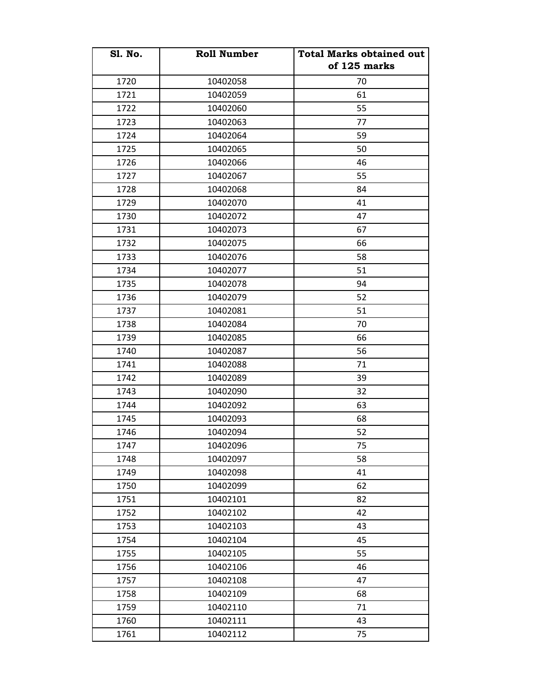| <b>S1. No.</b> | <b>Roll Number</b> | <b>Total Marks obtained out</b> |
|----------------|--------------------|---------------------------------|
|                |                    | of 125 marks                    |
| 1720           | 10402058           | 70                              |
| 1721           | 10402059           | 61                              |
| 1722           | 10402060           | 55                              |
| 1723           | 10402063           | 77                              |
| 1724           | 10402064           | 59                              |
| 1725           | 10402065           | 50                              |
| 1726           | 10402066           | 46                              |
| 1727           | 10402067           | 55                              |
| 1728           | 10402068           | 84                              |
| 1729           | 10402070           | 41                              |
| 1730           | 10402072           | 47                              |
| 1731           | 10402073           | 67                              |
| 1732           | 10402075           | 66                              |
| 1733           | 10402076           | 58                              |
| 1734           | 10402077           | 51                              |
| 1735           | 10402078           | 94                              |
| 1736           | 10402079           | 52                              |
| 1737           | 10402081           | 51                              |
| 1738           | 10402084           | 70                              |
| 1739           | 10402085           | 66                              |
| 1740           | 10402087           | 56                              |
| 1741           | 10402088           | 71                              |
| 1742           | 10402089           | 39                              |
| 1743           | 10402090           | 32                              |
| 1744           | 10402092           | 63                              |
| 1745           | 10402093           | 68                              |
| 1746           | 10402094           | 52                              |
| 1747           | 10402096           | 75                              |
| 1748           | 10402097           | 58                              |
| 1749           | 10402098           | 41                              |
| 1750           | 10402099           | 62                              |
| 1751           | 10402101           | 82                              |
| 1752           | 10402102           | 42                              |
| 1753           | 10402103           | 43                              |
| 1754           | 10402104           | 45                              |
| 1755           | 10402105           | 55                              |
| 1756           | 10402106           | 46                              |
| 1757           | 10402108           | 47                              |
| 1758           | 10402109           | 68                              |
| 1759           | 10402110           | 71                              |
| 1760           | 10402111           | 43                              |
| 1761           | 10402112           | 75                              |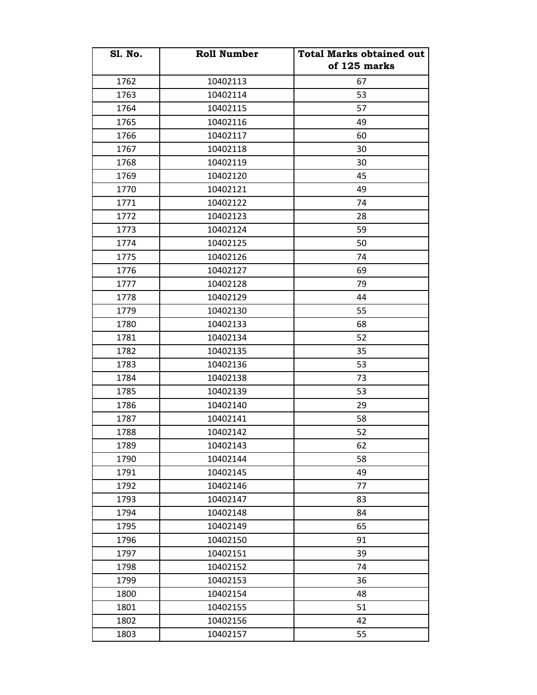| <b>S1. No.</b> | <b>Roll Number</b> | <b>Total Marks obtained out</b><br>of 125 marks |
|----------------|--------------------|-------------------------------------------------|
| 1762           | 10402113           | 67                                              |
| 1763           | 10402114           | 53                                              |
| 1764           | 10402115           | 57                                              |
| 1765           | 10402116           | 49                                              |
| 1766           | 10402117           | 60                                              |
| 1767           | 10402118           | 30                                              |
| 1768           | 10402119           | 30                                              |
| 1769           | 10402120           | 45                                              |
| 1770           | 10402121           | 49                                              |
| 1771           | 10402122           | 74                                              |
| 1772           | 10402123           | 28                                              |
| 1773           | 10402124           | 59                                              |
| 1774           | 10402125           | 50                                              |
| 1775           | 10402126           | 74                                              |
| 1776           | 10402127           | 69                                              |
| 1777           | 10402128           | 79                                              |
| 1778           | 10402129           | 44                                              |
| 1779           | 10402130           | 55                                              |
| 1780           | 10402133           | 68                                              |
| 1781           | 10402134           | 52                                              |
| 1782           | 10402135           | 35                                              |
| 1783           | 10402136           | 53                                              |
| 1784           | 10402138           | 73                                              |
| 1785           | 10402139           | 53                                              |
| 1786           | 10402140           | 29                                              |
| 1787           | 10402141           | 58                                              |
| 1788           | 10402142           | 52                                              |
| 1789           | 10402143           | 62                                              |
| 1790           | 10402144           | 58                                              |
| 1791           | 10402145           | 49                                              |
| 1792           | 10402146           | 77                                              |
| 1793           | 10402147           | 83                                              |
| 1794           | 10402148           | 84                                              |
| 1795           | 10402149           | 65                                              |
| 1796           | 10402150           | 91                                              |
| 1797           | 10402151           | 39                                              |
| 1798           | 10402152           | 74                                              |
| 1799           | 10402153           | 36                                              |
| 1800           | 10402154           | 48                                              |
| 1801           | 10402155           | 51                                              |
| 1802           | 10402156           | 42                                              |
| 1803           | 10402157           | 55                                              |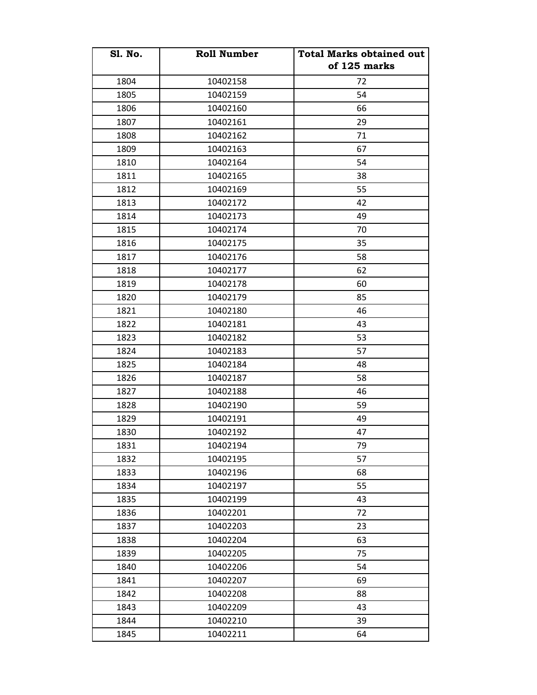| <b>S1. No.</b> | <b>Roll Number</b> | <b>Total Marks obtained out</b><br>of 125 marks |
|----------------|--------------------|-------------------------------------------------|
| 1804           | 10402158           | 72                                              |
| 1805           | 10402159           | 54                                              |
| 1806           | 10402160           | 66                                              |
| 1807           | 10402161           | 29                                              |
| 1808           | 10402162           | 71                                              |
| 1809           | 10402163           | 67                                              |
| 1810           | 10402164           | 54                                              |
| 1811           | 10402165           | 38                                              |
| 1812           | 10402169           | 55                                              |
| 1813           | 10402172           | 42                                              |
| 1814           | 10402173           | 49                                              |
| 1815           | 10402174           | 70                                              |
| 1816           | 10402175           | 35                                              |
| 1817           | 10402176           | 58                                              |
| 1818           | 10402177           | 62                                              |
| 1819           | 10402178           | 60                                              |
| 1820           | 10402179           | 85                                              |
| 1821           | 10402180           | 46                                              |
| 1822           | 10402181           | 43                                              |
| 1823           | 10402182           | 53                                              |
| 1824           | 10402183           | 57                                              |
| 1825           | 10402184           | 48                                              |
| 1826           | 10402187           | 58                                              |
| 1827           | 10402188           | 46                                              |
| 1828           | 10402190           | 59                                              |
| 1829           | 10402191           | 49                                              |
| 1830           | 10402192           | 47                                              |
| 1831           | 10402194           | 79                                              |
| 1832           | 10402195           | 57                                              |
| 1833           | 10402196           | 68                                              |
| 1834           | 10402197           | 55                                              |
| 1835           | 10402199           | 43                                              |
| 1836           | 10402201           | 72                                              |
| 1837           | 10402203           | 23                                              |
| 1838           | 10402204           | 63                                              |
| 1839           | 10402205           | 75                                              |
| 1840           | 10402206           | 54                                              |
| 1841           | 10402207           | 69                                              |
| 1842           | 10402208           | 88                                              |
| 1843           | 10402209           | 43                                              |
| 1844           | 10402210           | 39                                              |
| 1845           | 10402211           | 64                                              |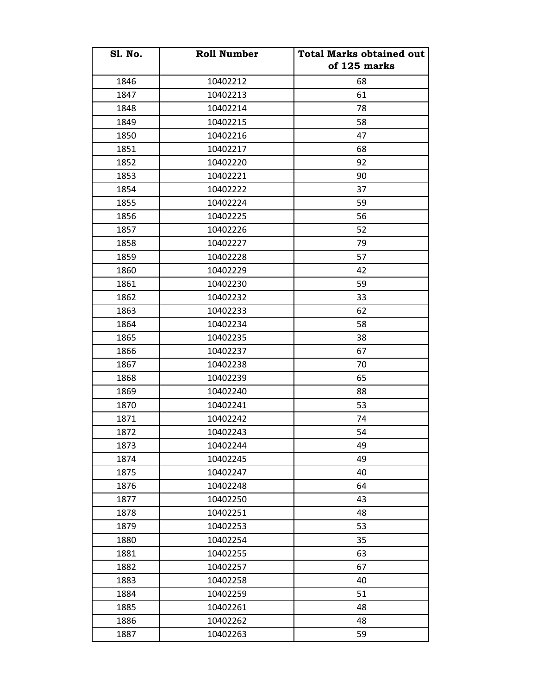| <b>S1. No.</b> | <b>Roll Number</b> | <b>Total Marks obtained out</b> |
|----------------|--------------------|---------------------------------|
|                |                    | of 125 marks                    |
| 1846           | 10402212           | 68                              |
| 1847           | 10402213           | 61                              |
| 1848           | 10402214           | 78                              |
| 1849           | 10402215           | 58                              |
| 1850           | 10402216           | 47                              |
| 1851           | 10402217           | 68                              |
| 1852           | 10402220           | 92                              |
| 1853           | 10402221           | 90                              |
| 1854           | 10402222           | 37                              |
| 1855           | 10402224           | 59                              |
| 1856           | 10402225           | 56                              |
| 1857           | 10402226           | 52                              |
| 1858           | 10402227           | 79                              |
| 1859           | 10402228           | 57                              |
| 1860           | 10402229           | 42                              |
| 1861           | 10402230           | 59                              |
| 1862           | 10402232           | 33                              |
| 1863           | 10402233           | 62                              |
| 1864           | 10402234           | 58                              |
| 1865           | 10402235           | 38                              |
| 1866           | 10402237           | 67                              |
| 1867           | 10402238           | 70                              |
| 1868           | 10402239           | 65                              |
| 1869           | 10402240           | 88                              |
| 1870           | 10402241           | 53                              |
| 1871           | 10402242           | 74                              |
| 1872           | 10402243           | 54                              |
| 1873           | 10402244           | 49                              |
| 1874           | 10402245           | 49                              |
| 1875           | 10402247           | 40                              |
| 1876           | 10402248           | 64                              |
| 1877           | 10402250           | 43                              |
| 1878           | 10402251           | 48                              |
| 1879           | 10402253           | 53                              |
| 1880           | 10402254           | 35                              |
| 1881           | 10402255           | 63                              |
| 1882           | 10402257           | 67                              |
| 1883           | 10402258           | 40                              |
| 1884           | 10402259           | 51                              |
| 1885           | 10402261           | 48                              |
| 1886           | 10402262           | 48                              |
| 1887           | 10402263           | 59                              |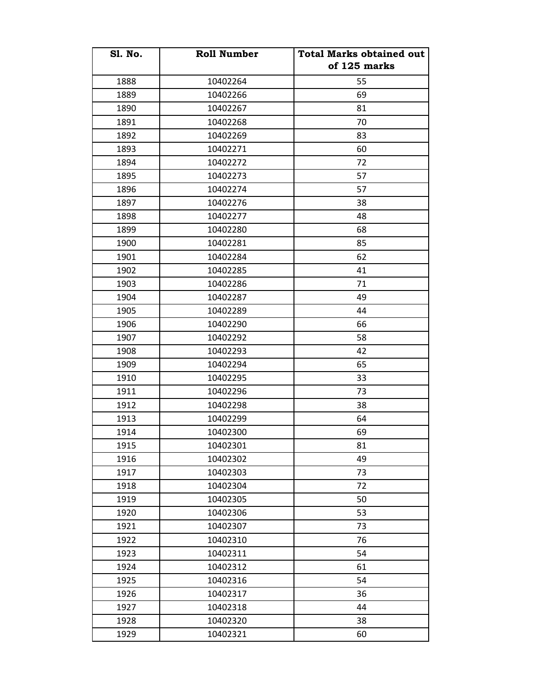| <b>S1. No.</b> | <b>Roll Number</b> | <b>Total Marks obtained out</b><br>of 125 marks |
|----------------|--------------------|-------------------------------------------------|
| 1888           | 10402264           | 55                                              |
| 1889           | 10402266           | 69                                              |
| 1890           | 10402267           | 81                                              |
| 1891           | 10402268           | 70                                              |
| 1892           | 10402269           | 83                                              |
| 1893           | 10402271           | 60                                              |
| 1894           | 10402272           | 72                                              |
| 1895           | 10402273           | 57                                              |
| 1896           | 10402274           | 57                                              |
| 1897           | 10402276           | 38                                              |
| 1898           | 10402277           | 48                                              |
| 1899           | 10402280           | 68                                              |
| 1900           | 10402281           | 85                                              |
| 1901           | 10402284           | 62                                              |
| 1902           | 10402285           | 41                                              |
| 1903           | 10402286           | 71                                              |
| 1904           | 10402287           | 49                                              |
| 1905           | 10402289           | 44                                              |
| 1906           | 10402290           | 66                                              |
| 1907           | 10402292           | 58                                              |
| 1908           | 10402293           | 42                                              |
| 1909           | 10402294           | 65                                              |
| 1910           | 10402295           | 33                                              |
| 1911           | 10402296           | 73                                              |
| 1912           | 10402298           | 38                                              |
| 1913           | 10402299           | 64                                              |
| 1914           | 10402300           | 69                                              |
| 1915           | 10402301           | 81                                              |
| 1916           | 10402302           | 49                                              |
| 1917           | 10402303           | 73                                              |
| 1918           | 10402304           | 72                                              |
| 1919           | 10402305           | 50                                              |
| 1920           | 10402306           | 53                                              |
| 1921           | 10402307           | 73                                              |
| 1922           | 10402310           | 76                                              |
| 1923           | 10402311           | 54                                              |
| 1924           | 10402312           | 61                                              |
| 1925           | 10402316           | 54                                              |
| 1926           | 10402317           | 36                                              |
| 1927           | 10402318           | 44                                              |
| 1928           | 10402320           | 38                                              |
| 1929           | 10402321           | 60                                              |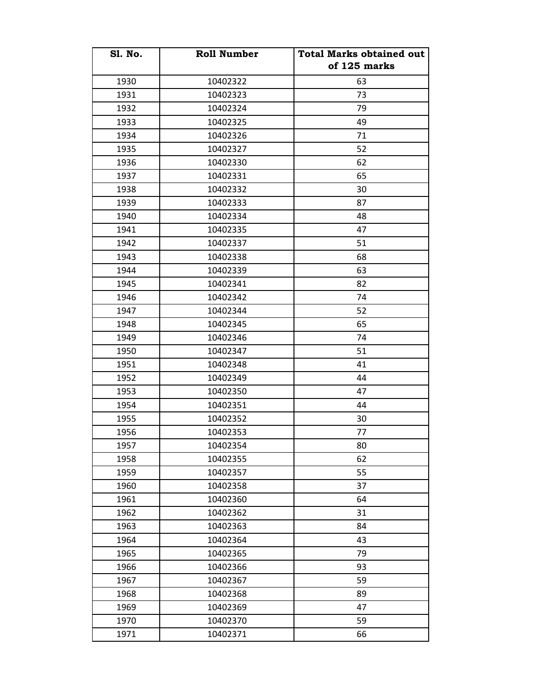| <b>S1. No.</b> | <b>Roll Number</b> | <b>Total Marks obtained out</b><br>of 125 marks |
|----------------|--------------------|-------------------------------------------------|
| 1930           | 10402322           | 63                                              |
| 1931           | 10402323           | 73                                              |
| 1932           | 10402324           | 79                                              |
| 1933           | 10402325           | 49                                              |
| 1934           | 10402326           | 71                                              |
| 1935           | 10402327           | 52                                              |
| 1936           | 10402330           | 62                                              |
| 1937           | 10402331           | 65                                              |
| 1938           | 10402332           | 30                                              |
| 1939           | 10402333           | 87                                              |
| 1940           | 10402334           | 48                                              |
| 1941           | 10402335           | 47                                              |
| 1942           | 10402337           | 51                                              |
| 1943           | 10402338           | 68                                              |
| 1944           | 10402339           | 63                                              |
| 1945           | 10402341           | 82                                              |
| 1946           | 10402342           | 74                                              |
| 1947           | 10402344           | 52                                              |
| 1948           | 10402345           | 65                                              |
| 1949           | 10402346           | 74                                              |
| 1950           | 10402347           | 51                                              |
| 1951           | 10402348           | 41                                              |
| 1952           | 10402349           | 44                                              |
| 1953           | 10402350           | 47                                              |
| 1954           | 10402351           | 44                                              |
| 1955           | 10402352           | 30                                              |
| 1956           | 10402353           | 77                                              |
| 1957           | 10402354           | 80                                              |
| 1958           | 10402355           | 62                                              |
| 1959           | 10402357           | 55                                              |
| 1960           | 10402358           | 37                                              |
| 1961           | 10402360           | 64                                              |
| 1962           | 10402362           | 31                                              |
| 1963           | 10402363           | 84                                              |
| 1964           | 10402364           | 43                                              |
| 1965           | 10402365           | 79                                              |
| 1966           | 10402366           | 93                                              |
| 1967           | 10402367           | 59                                              |
| 1968           | 10402368           | 89                                              |
| 1969           | 10402369           | 47                                              |
| 1970           | 10402370           | 59                                              |
| 1971           | 10402371           | 66                                              |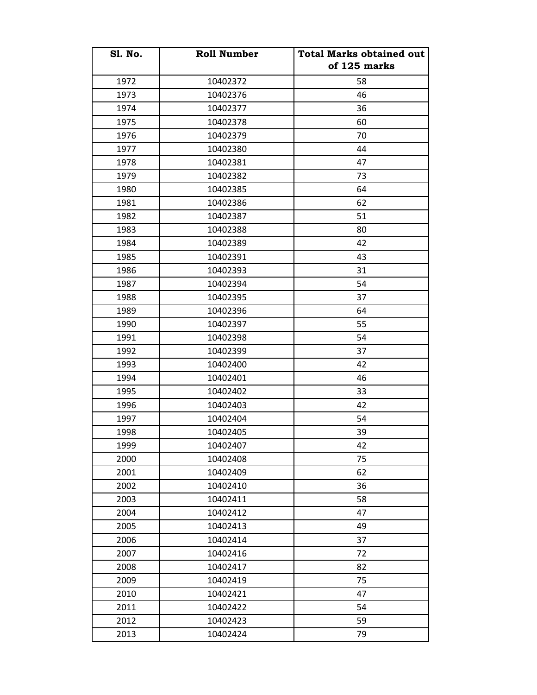| <b>S1. No.</b> | <b>Roll Number</b> | <b>Total Marks obtained out</b><br>of 125 marks |
|----------------|--------------------|-------------------------------------------------|
| 1972           | 10402372           | 58                                              |
| 1973           | 10402376           | 46                                              |
| 1974           | 10402377           | 36                                              |
| 1975           | 10402378           | 60                                              |
| 1976           | 10402379           | 70                                              |
| 1977           | 10402380           | 44                                              |
| 1978           | 10402381           | 47                                              |
| 1979           | 10402382           | 73                                              |
| 1980           | 10402385           | 64                                              |
| 1981           | 10402386           | 62                                              |
| 1982           | 10402387           | 51                                              |
| 1983           | 10402388           | 80                                              |
| 1984           | 10402389           | 42                                              |
| 1985           | 10402391           | 43                                              |
| 1986           | 10402393           | 31                                              |
| 1987           | 10402394           | 54                                              |
| 1988           | 10402395           | 37                                              |
| 1989           | 10402396           | 64                                              |
| 1990           | 10402397           | 55                                              |
| 1991           | 10402398           | 54                                              |
| 1992           | 10402399           | 37                                              |
| 1993           | 10402400           | 42                                              |
| 1994           | 10402401           | 46                                              |
| 1995           | 10402402           | 33                                              |
| 1996           | 10402403           | 42                                              |
| 1997           | 10402404           | 54                                              |
| 1998           | 10402405           | 39                                              |
| 1999           | 10402407           | 42                                              |
| 2000           | 10402408           | 75                                              |
| 2001           | 10402409           | 62                                              |
| 2002           | 10402410           | 36                                              |
| 2003           | 10402411           | 58                                              |
| 2004           | 10402412           | 47                                              |
| 2005           | 10402413           | 49                                              |
| 2006           | 10402414           | 37                                              |
| 2007           | 10402416           | 72                                              |
| 2008           | 10402417           | 82                                              |
| 2009           | 10402419           | 75                                              |
| 2010           | 10402421           | 47                                              |
| 2011           | 10402422           | 54                                              |
| 2012           | 10402423           | 59                                              |
| 2013           | 10402424           | 79                                              |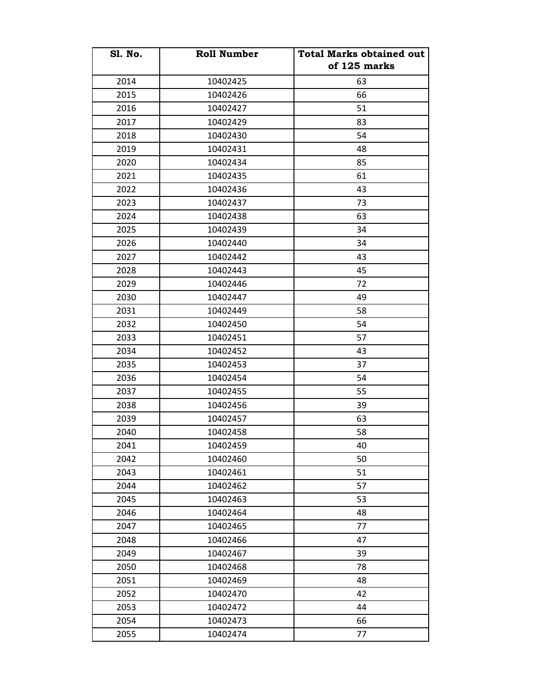| <b>Sl. No.</b> | <b>Roll Number</b> | <b>Total Marks obtained out</b> |
|----------------|--------------------|---------------------------------|
|                |                    | of 125 marks                    |
| 2014           | 10402425           | 63                              |
| 2015           | 10402426           | 66                              |
| 2016           | 10402427           | 51                              |
| 2017           | 10402429           | 83                              |
| 2018           | 10402430           | 54                              |
| 2019           | 10402431           | 48                              |
| 2020           | 10402434           | 85                              |
| 2021           | 10402435           | 61                              |
| 2022           | 10402436           | 43                              |
| 2023           | 10402437           | 73                              |
| 2024           | 10402438           | 63                              |
| 2025           | 10402439           | 34                              |
| 2026           | 10402440           | 34                              |
| 2027           | 10402442           | 43                              |
| 2028           | 10402443           | 45                              |
| 2029           | 10402446           | 72                              |
| 2030           | 10402447           | 49                              |
| 2031           | 10402449           | 58                              |
| 2032           | 10402450           | 54                              |
| 2033           | 10402451           | 57                              |
| 2034           | 10402452           | 43                              |
| 2035           | 10402453           | 37                              |
| 2036           | 10402454           | 54                              |
| 2037           | 10402455           | 55                              |
| 2038           | 10402456           | 39                              |
| 2039           | 10402457           | 63                              |
| 2040           | 10402458           | 58                              |
| 2041           | 10402459           | 40                              |
| 2042           | 10402460           | 50                              |
| 2043           | 10402461           | 51                              |
| 2044           | 10402462           | 57                              |
| 2045           | 10402463           | 53                              |
| 2046           | 10402464           | 48                              |
| 2047           | 10402465           | 77                              |
| 2048           | 10402466           | 47                              |
| 2049           | 10402467           | 39                              |
| 2050           | 10402468           | 78                              |
| 2051           | 10402469           | 48                              |
| 2052           | 10402470           | 42                              |
| 2053           | 10402472           | 44                              |
| 2054           | 10402473           | 66                              |
| 2055           | 10402474           | 77                              |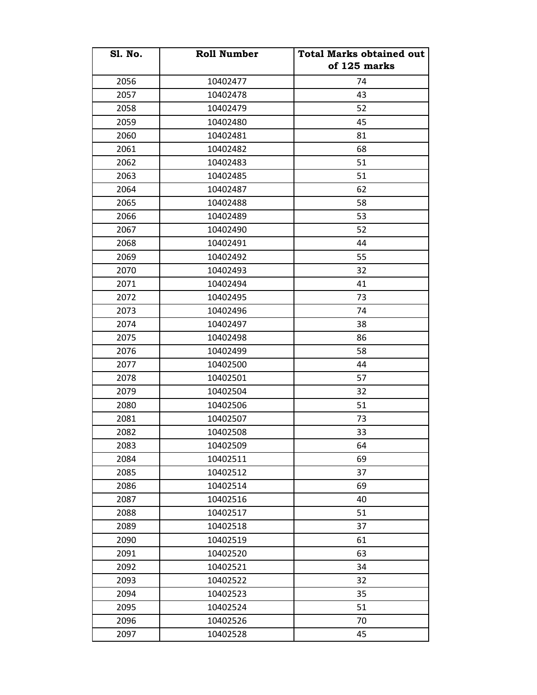| <b>S1. No.</b> | <b>Roll Number</b> | <b>Total Marks obtained out</b><br>of 125 marks |
|----------------|--------------------|-------------------------------------------------|
| 2056           | 10402477           | 74                                              |
| 2057           | 10402478           | 43                                              |
| 2058           | 10402479           | 52                                              |
| 2059           | 10402480           | 45                                              |
| 2060           | 10402481           | 81                                              |
| 2061           | 10402482           | 68                                              |
| 2062           | 10402483           | 51                                              |
| 2063           | 10402485           | 51                                              |
| 2064           | 10402487           | 62                                              |
| 2065           | 10402488           | 58                                              |
| 2066           | 10402489           | 53                                              |
| 2067           | 10402490           | 52                                              |
| 2068           | 10402491           | 44                                              |
| 2069           | 10402492           | 55                                              |
| 2070           | 10402493           | 32                                              |
| 2071           | 10402494           | 41                                              |
| 2072           | 10402495           | 73                                              |
| 2073           | 10402496           | 74                                              |
| 2074           | 10402497           | 38                                              |
| 2075           | 10402498           | 86                                              |
| 2076           | 10402499           | 58                                              |
| 2077           | 10402500           | 44                                              |
| 2078           | 10402501           | 57                                              |
| 2079           | 10402504           | 32                                              |
| 2080           | 10402506           | 51                                              |
| 2081           | 10402507           | 73                                              |
| 2082           | 10402508           | 33                                              |
| 2083           | 10402509           | 64                                              |
| 2084           | 10402511           | 69                                              |
| 2085           | 10402512           | 37                                              |
| 2086           | 10402514           | 69                                              |
| 2087           | 10402516           | 40                                              |
| 2088           | 10402517           | 51                                              |
| 2089           | 10402518           | 37                                              |
| 2090           | 10402519           | 61                                              |
| 2091           | 10402520           | 63                                              |
| 2092           | 10402521           | 34                                              |
| 2093           | 10402522           | 32                                              |
| 2094           | 10402523           | 35                                              |
| 2095           | 10402524           | 51                                              |
| 2096           | 10402526           | 70                                              |
| 2097           | 10402528           | 45                                              |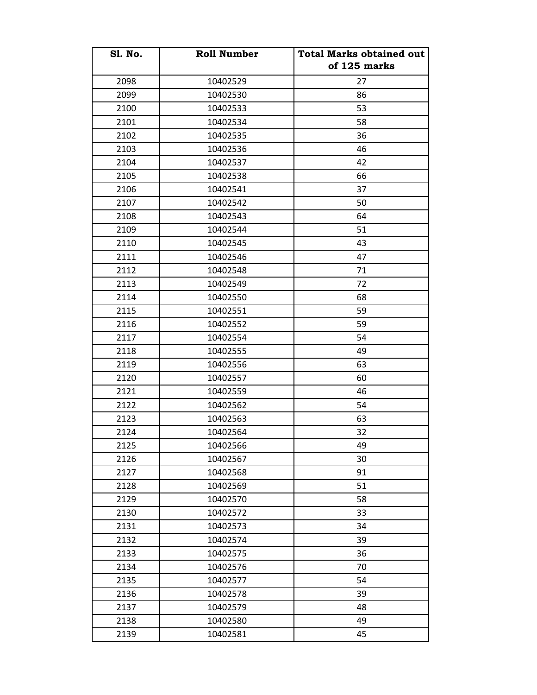| <b>S1. No.</b> | <b>Roll Number</b> | <b>Total Marks obtained out</b><br>of 125 marks |
|----------------|--------------------|-------------------------------------------------|
| 2098           | 10402529           | 27                                              |
| 2099           | 10402530           | 86                                              |
| 2100           | 10402533           | 53                                              |
| 2101           | 10402534           | 58                                              |
| 2102           | 10402535           | 36                                              |
| 2103           | 10402536           | 46                                              |
| 2104           | 10402537           | 42                                              |
| 2105           | 10402538           | 66                                              |
| 2106           | 10402541           | 37                                              |
| 2107           | 10402542           | 50                                              |
| 2108           | 10402543           | 64                                              |
| 2109           | 10402544           | 51                                              |
| 2110           | 10402545           | 43                                              |
| 2111           | 10402546           | 47                                              |
| 2112           | 10402548           | 71                                              |
| 2113           | 10402549           | 72                                              |
| 2114           | 10402550           | 68                                              |
| 2115           | 10402551           | 59                                              |
| 2116           | 10402552           | 59                                              |
| 2117           | 10402554           | 54                                              |
| 2118           | 10402555           | 49                                              |
| 2119           | 10402556           | 63                                              |
| 2120           | 10402557           | 60                                              |
| 2121           | 10402559           | 46                                              |
| 2122           | 10402562           | 54                                              |
| 2123           | 10402563           | 63                                              |
| 2124           | 10402564           | 32                                              |
| 2125           | 10402566           | 49                                              |
| 2126           | 10402567           | 30                                              |
| 2127           | 10402568           | 91                                              |
| 2128           | 10402569           | 51                                              |
| 2129           | 10402570           | 58                                              |
| 2130           | 10402572           | 33                                              |
| 2131           | 10402573           | 34                                              |
| 2132           | 10402574           | 39                                              |
| 2133           | 10402575           | 36                                              |
| 2134           | 10402576           | 70                                              |
| 2135           | 10402577           | 54                                              |
| 2136           | 10402578           | 39                                              |
| 2137           | 10402579           | 48                                              |
| 2138           | 10402580           | 49                                              |
| 2139           | 10402581           | 45                                              |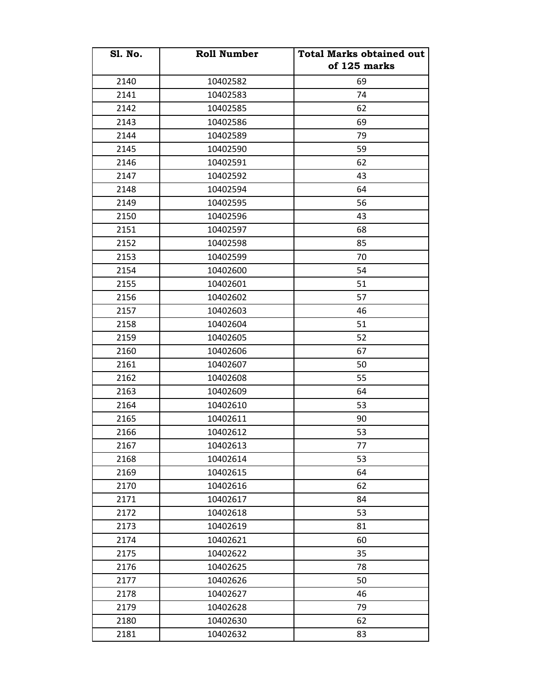| <b>S1. No.</b> | <b>Roll Number</b> | <b>Total Marks obtained out</b><br>of 125 marks |
|----------------|--------------------|-------------------------------------------------|
| 2140           | 10402582           | 69                                              |
| 2141           | 10402583           | 74                                              |
| 2142           | 10402585           | 62                                              |
| 2143           | 10402586           | 69                                              |
| 2144           | 10402589           | 79                                              |
| 2145           | 10402590           | 59                                              |
| 2146           | 10402591           | 62                                              |
| 2147           | 10402592           | 43                                              |
| 2148           | 10402594           | 64                                              |
| 2149           | 10402595           | 56                                              |
| 2150           | 10402596           | 43                                              |
| 2151           | 10402597           | 68                                              |
| 2152           | 10402598           | 85                                              |
| 2153           | 10402599           | 70                                              |
| 2154           | 10402600           | 54                                              |
| 2155           | 10402601           | 51                                              |
| 2156           | 10402602           | 57                                              |
| 2157           | 10402603           | 46                                              |
| 2158           | 10402604           | 51                                              |
| 2159           | 10402605           | 52                                              |
| 2160           | 10402606           | 67                                              |
| 2161           | 10402607           | 50                                              |
| 2162           | 10402608           | 55                                              |
| 2163           | 10402609           | 64                                              |
| 2164           | 10402610           | 53                                              |
| 2165           | 10402611           | 90                                              |
| 2166           | 10402612           | 53                                              |
| 2167           | 10402613           | 77                                              |
| 2168           | 10402614           | 53                                              |
| 2169           | 10402615           | 64                                              |
| 2170           | 10402616           | 62                                              |
| 2171           | 10402617           | 84                                              |
| 2172           | 10402618           | 53                                              |
| 2173           | 10402619           | 81                                              |
| 2174           | 10402621           | 60                                              |
| 2175           | 10402622           | 35                                              |
| 2176           | 10402625           | 78                                              |
| 2177           | 10402626           | 50                                              |
| 2178           | 10402627           | 46                                              |
| 2179           | 10402628           | 79                                              |
| 2180           | 10402630           | 62                                              |
| 2181           | 10402632           | 83                                              |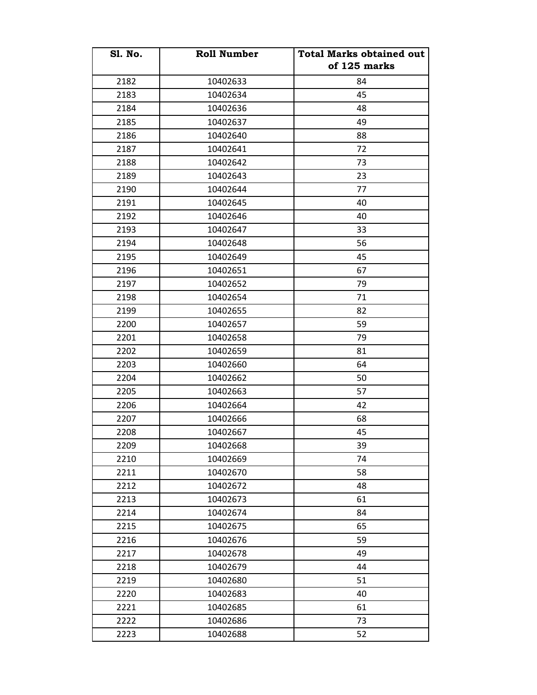| <b>S1. No.</b> | <b>Roll Number</b> | <b>Total Marks obtained out</b><br>of 125 marks |
|----------------|--------------------|-------------------------------------------------|
| 2182           | 10402633           | 84                                              |
| 2183           | 10402634           | 45                                              |
| 2184           | 10402636           | 48                                              |
| 2185           | 10402637           | 49                                              |
| 2186           | 10402640           | 88                                              |
| 2187           | 10402641           | 72                                              |
| 2188           | 10402642           | 73                                              |
| 2189           | 10402643           | 23                                              |
| 2190           | 10402644           | 77                                              |
| 2191           | 10402645           | 40                                              |
| 2192           | 10402646           | 40                                              |
| 2193           | 10402647           | 33                                              |
| 2194           | 10402648           | 56                                              |
| 2195           | 10402649           | 45                                              |
| 2196           | 10402651           | 67                                              |
| 2197           | 10402652           | 79                                              |
| 2198           | 10402654           | 71                                              |
| 2199           | 10402655           | 82                                              |
| 2200           | 10402657           | 59                                              |
| 2201           | 10402658           | 79                                              |
| 2202           | 10402659           | 81                                              |
| 2203           | 10402660           | 64                                              |
| 2204           | 10402662           | 50                                              |
| 2205           | 10402663           | 57                                              |
| 2206           | 10402664           | 42                                              |
| 2207           | 10402666           | 68                                              |
| 2208           | 10402667           | 45                                              |
| 2209           | 10402668           | 39                                              |
| 2210           | 10402669           | 74                                              |
| 2211           | 10402670           | 58                                              |
| 2212           | 10402672           | 48                                              |
| 2213           | 10402673           | 61                                              |
| 2214           | 10402674           | 84                                              |
| 2215           | 10402675           | 65                                              |
| 2216           | 10402676           | 59                                              |
| 2217           | 10402678           | 49                                              |
| 2218           | 10402679           | 44                                              |
| 2219           | 10402680           | 51                                              |
| 2220           | 10402683           | 40                                              |
| 2221           | 10402685           | 61                                              |
| 2222           | 10402686           | 73                                              |
| 2223           | 10402688           | 52                                              |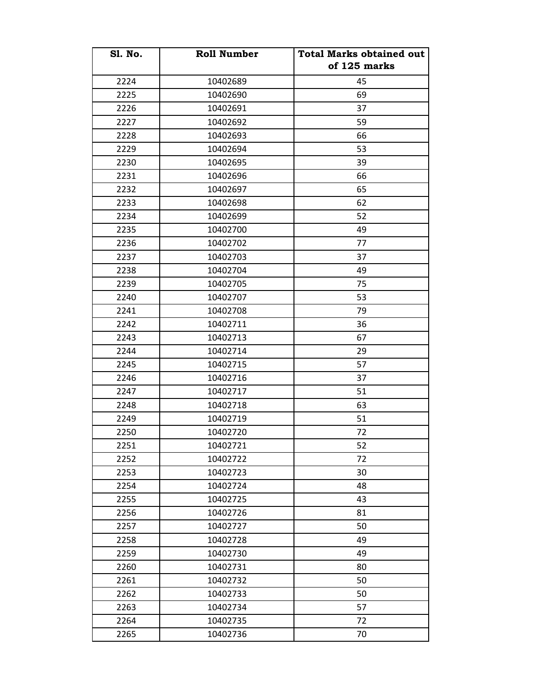| <b>S1. No.</b> | <b>Roll Number</b> | <b>Total Marks obtained out</b><br>of 125 marks |
|----------------|--------------------|-------------------------------------------------|
| 2224           | 10402689           | 45                                              |
| 2225           | 10402690           | 69                                              |
| 2226           | 10402691           | 37                                              |
| 2227           | 10402692           | 59                                              |
| 2228           | 10402693           | 66                                              |
| 2229           | 10402694           | 53                                              |
| 2230           | 10402695           | 39                                              |
| 2231           | 10402696           | 66                                              |
| 2232           | 10402697           | 65                                              |
| 2233           | 10402698           | 62                                              |
| 2234           | 10402699           | 52                                              |
| 2235           | 10402700           | 49                                              |
| 2236           | 10402702           | 77                                              |
| 2237           | 10402703           | 37                                              |
| 2238           | 10402704           | 49                                              |
| 2239           | 10402705           | 75                                              |
| 2240           | 10402707           | 53                                              |
| 2241           | 10402708           | 79                                              |
| 2242           | 10402711           | 36                                              |
| 2243           | 10402713           | 67                                              |
| 2244           | 10402714           | 29                                              |
| 2245           | 10402715           | 57                                              |
| 2246           | 10402716           | 37                                              |
| 2247           | 10402717           | 51                                              |
| 2248           | 10402718           | 63                                              |
| 2249           | 10402719           | 51                                              |
| 2250           | 10402720           | 72                                              |
| 2251           | 10402721           | 52                                              |
| 2252           | 10402722           | 72                                              |
| 2253           | 10402723           | 30                                              |
| 2254           | 10402724           | 48                                              |
| 2255           | 10402725           | 43                                              |
| 2256           | 10402726           | 81                                              |
| 2257           | 10402727           | 50                                              |
| 2258           | 10402728           | 49                                              |
| 2259           | 10402730           | 49                                              |
| 2260           | 10402731           | 80                                              |
| 2261           | 10402732           | 50                                              |
| 2262           | 10402733           | 50                                              |
| 2263           | 10402734           | 57                                              |
| 2264           | 10402735           | 72                                              |
| 2265           | 10402736           | 70                                              |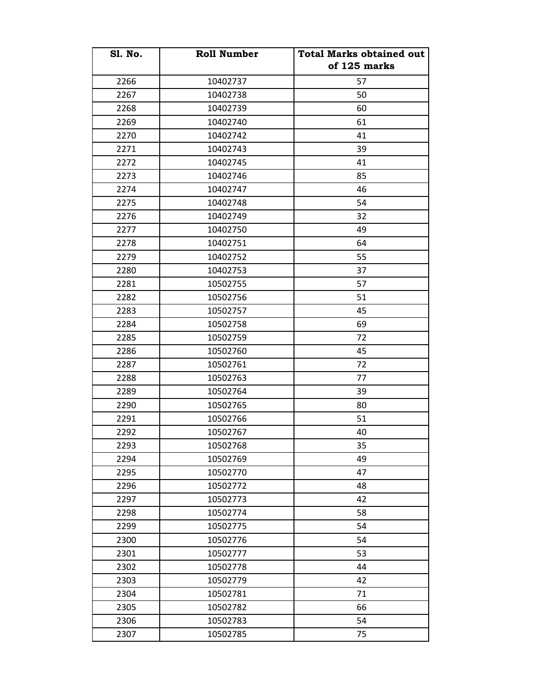| <b>S1. No.</b> | <b>Roll Number</b> | <b>Total Marks obtained out</b><br>of 125 marks |
|----------------|--------------------|-------------------------------------------------|
| 2266           | 10402737           | 57                                              |
| 2267           | 10402738           | 50                                              |
| 2268           | 10402739           | 60                                              |
| 2269           | 10402740           | 61                                              |
| 2270           | 10402742           | 41                                              |
| 2271           | 10402743           | 39                                              |
| 2272           | 10402745           | 41                                              |
| 2273           | 10402746           | 85                                              |
| 2274           | 10402747           | 46                                              |
| 2275           | 10402748           | 54                                              |
| 2276           | 10402749           | 32                                              |
| 2277           | 10402750           | 49                                              |
| 2278           | 10402751           | 64                                              |
| 2279           | 10402752           | 55                                              |
| 2280           | 10402753           | 37                                              |
| 2281           | 10502755           | 57                                              |
| 2282           | 10502756           | 51                                              |
| 2283           | 10502757           | 45                                              |
| 2284           | 10502758           | 69                                              |
| 2285           | 10502759           | 72                                              |
| 2286           | 10502760           | 45                                              |
| 2287           | 10502761           | 72                                              |
| 2288           | 10502763           | 77                                              |
| 2289           | 10502764           | 39                                              |
| 2290           | 10502765           | 80                                              |
| 2291           | 10502766           | 51                                              |
| 2292           | 10502767           | 40                                              |
| 2293           | 10502768           | 35                                              |
| 2294           | 10502769           | 49                                              |
| 2295           | 10502770           | 47                                              |
| 2296           | 10502772           | 48                                              |
| 2297           | 10502773           | 42                                              |
| 2298           | 10502774           | 58                                              |
| 2299           | 10502775           | 54                                              |
| 2300           | 10502776           | 54                                              |
| 2301           | 10502777           | 53                                              |
| 2302           | 10502778           | 44                                              |
| 2303           | 10502779           | 42                                              |
| 2304           | 10502781           | 71                                              |
| 2305           | 10502782           | 66                                              |
| 2306           | 10502783           | 54                                              |
| 2307           | 10502785           | 75                                              |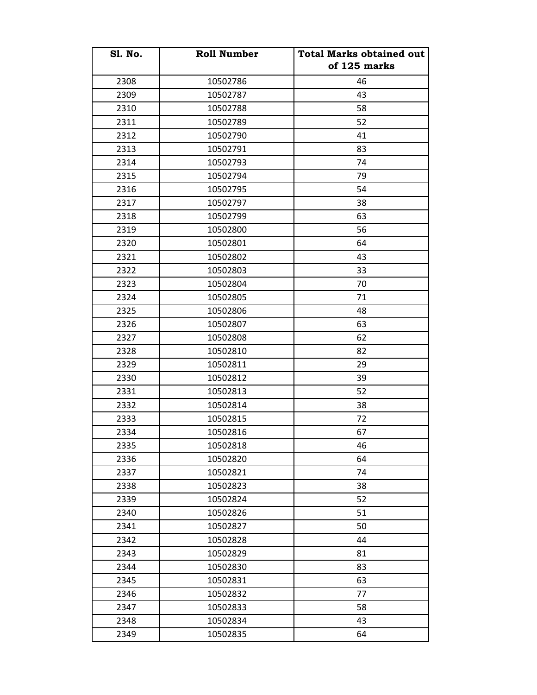| <b>S1. No.</b> | <b>Roll Number</b> | <b>Total Marks obtained out</b><br>of 125 marks |
|----------------|--------------------|-------------------------------------------------|
| 2308           | 10502786           | 46                                              |
| 2309           | 10502787           | 43                                              |
| 2310           | 10502788           | 58                                              |
| 2311           | 10502789           | 52                                              |
| 2312           | 10502790           | 41                                              |
| 2313           | 10502791           | 83                                              |
| 2314           | 10502793           | 74                                              |
| 2315           | 10502794           | 79                                              |
| 2316           | 10502795           | 54                                              |
| 2317           | 10502797           | 38                                              |
| 2318           | 10502799           | 63                                              |
| 2319           | 10502800           | 56                                              |
| 2320           | 10502801           | 64                                              |
| 2321           | 10502802           | 43                                              |
| 2322           | 10502803           | 33                                              |
| 2323           | 10502804           | 70                                              |
| 2324           | 10502805           | 71                                              |
| 2325           | 10502806           | 48                                              |
| 2326           | 10502807           | 63                                              |
| 2327           | 10502808           | 62                                              |
| 2328           | 10502810           | 82                                              |
| 2329           | 10502811           | 29                                              |
| 2330           | 10502812           | 39                                              |
| 2331           | 10502813           | 52                                              |
| 2332           | 10502814           | 38                                              |
| 2333           | 10502815           | 72                                              |
| 2334           | 10502816           | 67                                              |
| 2335           | 10502818           | 46                                              |
| 2336           | 10502820           | 64                                              |
| 2337           | 10502821           | 74                                              |
| 2338           | 10502823           | 38                                              |
| 2339           | 10502824           | 52                                              |
| 2340           | 10502826           | 51                                              |
| 2341           | 10502827           | 50                                              |
| 2342           | 10502828           | 44                                              |
| 2343           | 10502829           | 81                                              |
| 2344           | 10502830           | 83                                              |
| 2345           | 10502831           | 63                                              |
| 2346           | 10502832           | 77                                              |
| 2347           | 10502833           | 58                                              |
| 2348           | 10502834           | 43                                              |
| 2349           | 10502835           | 64                                              |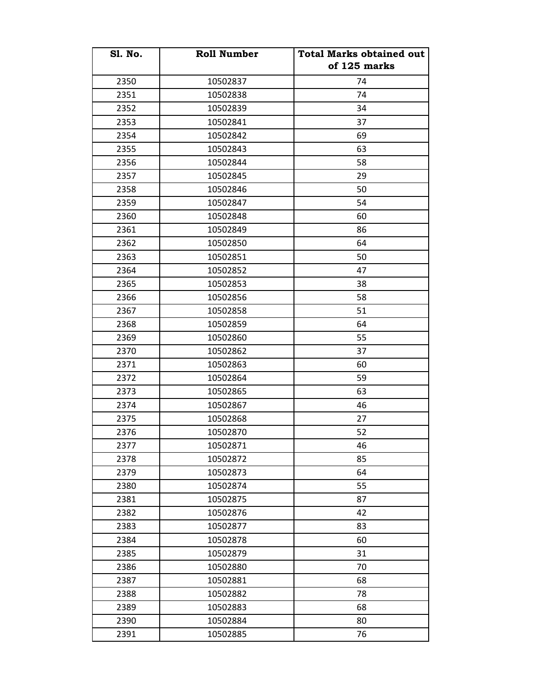| <b>S1. No.</b> | <b>Roll Number</b> | <b>Total Marks obtained out</b><br>of 125 marks |
|----------------|--------------------|-------------------------------------------------|
| 2350           | 10502837           | 74                                              |
| 2351           | 10502838           | 74                                              |
| 2352           | 10502839           | 34                                              |
| 2353           | 10502841           | 37                                              |
| 2354           | 10502842           | 69                                              |
| 2355           | 10502843           | 63                                              |
| 2356           | 10502844           | 58                                              |
| 2357           | 10502845           | 29                                              |
| 2358           | 10502846           | 50                                              |
| 2359           | 10502847           | 54                                              |
| 2360           | 10502848           | 60                                              |
| 2361           | 10502849           | 86                                              |
| 2362           | 10502850           | 64                                              |
| 2363           | 10502851           | 50                                              |
| 2364           | 10502852           | 47                                              |
| 2365           | 10502853           | 38                                              |
| 2366           | 10502856           | 58                                              |
| 2367           | 10502858           | 51                                              |
| 2368           | 10502859           | 64                                              |
| 2369           | 10502860           | 55                                              |
| 2370           | 10502862           | 37                                              |
| 2371           | 10502863           | 60                                              |
| 2372           | 10502864           | 59                                              |
| 2373           | 10502865           | 63                                              |
| 2374           | 10502867           | 46                                              |
| 2375           | 10502868           | 27                                              |
| 2376           | 10502870           | 52                                              |
| 2377           | 10502871           | 46                                              |
| 2378           | 10502872           | 85                                              |
| 2379           | 10502873           | 64                                              |
| 2380           | 10502874           | 55                                              |
| 2381           | 10502875           | 87                                              |
| 2382           | 10502876           | 42                                              |
| 2383           | 10502877           | 83                                              |
| 2384           | 10502878           | 60                                              |
| 2385           | 10502879           | 31                                              |
| 2386           | 10502880           | 70                                              |
| 2387           | 10502881           | 68                                              |
| 2388           | 10502882           | 78                                              |
| 2389           | 10502883           | 68                                              |
| 2390           | 10502884           | 80                                              |
| 2391           | 10502885           | 76                                              |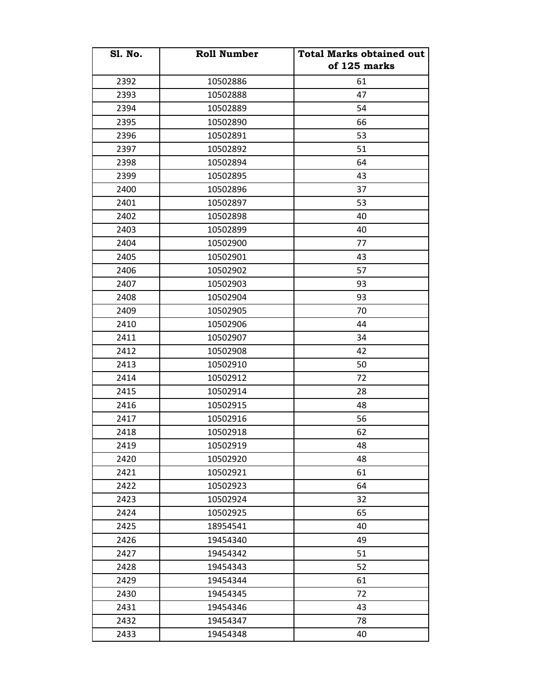| <b>S1. No.</b> | <b>Roll Number</b> | <b>Total Marks obtained out</b><br>of 125 marks |
|----------------|--------------------|-------------------------------------------------|
| 2392           | 10502886           | 61                                              |
| 2393           | 10502888           | 47                                              |
| 2394           | 10502889           | 54                                              |
| 2395           | 10502890           | 66                                              |
| 2396           | 10502891           | 53                                              |
| 2397           | 10502892           | 51                                              |
| 2398           | 10502894           | 64                                              |
| 2399           | 10502895           | 43                                              |
| 2400           | 10502896           | 37                                              |
| 2401           | 10502897           | 53                                              |
| 2402           | 10502898           | 40                                              |
| 2403           | 10502899           | 40                                              |
| 2404           | 10502900           | 77                                              |
| 2405           | 10502901           | 43                                              |
| 2406           | 10502902           | 57                                              |
| 2407           | 10502903           | 93                                              |
| 2408           | 10502904           | 93                                              |
| 2409           | 10502905           | 70                                              |
| 2410           | 10502906           | 44                                              |
| 2411           | 10502907           | 34                                              |
| 2412           | 10502908           | 42                                              |
| 2413           | 10502910           | 50                                              |
| 2414           | 10502912           | 72                                              |
| 2415           | 10502914           | 28                                              |
| 2416           | 10502915           | 48                                              |
| 2417           | 10502916           | 56                                              |
| 2418           | 10502918           | 62                                              |
| 2419           | 10502919           | 48                                              |
| 2420           | 10502920           | 48                                              |
| 2421           | 10502921           | 61                                              |
| 2422           | 10502923           | 64                                              |
| 2423           | 10502924           | 32                                              |
| 2424           | 10502925           | 65                                              |
| 2425           | 18954541           | 40                                              |
| 2426           | 19454340           | 49                                              |
| 2427           | 19454342           | 51                                              |
| 2428           | 19454343           | 52                                              |
| 2429           | 19454344           | 61                                              |
| 2430           | 19454345           | 72                                              |
| 2431           | 19454346           | 43                                              |
| 2432           | 19454347           | 78                                              |
| 2433           | 19454348           | 40                                              |